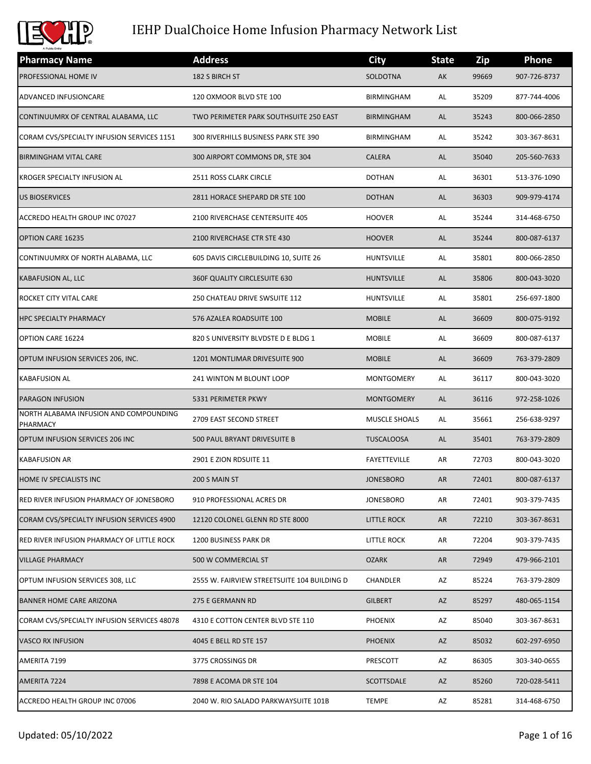

| <b>Pharmacy Name</b>                               | <b>Address</b>                              | <b>City</b>         | <b>State</b> | Zip   | Phone        |
|----------------------------------------------------|---------------------------------------------|---------------------|--------------|-------|--------------|
| PROFESSIONAL HOME IV                               | 182 S BIRCH ST                              | <b>SOLDOTNA</b>     | AK           | 99669 | 907-726-8737 |
| ADVANCED INFUSIONCARE                              | 120 OXMOOR BLVD STE 100                     | <b>BIRMINGHAM</b>   | AL           | 35209 | 877-744-4006 |
| CONTINUUMRX OF CENTRAL ALABAMA, LLC                | TWO PERIMETER PARK SOUTHSUITE 250 EAST      | <b>BIRMINGHAM</b>   | AL           | 35243 | 800-066-2850 |
| CORAM CVS/SPECIALTY INFUSION SERVICES 1151         | 300 RIVERHILLS BUSINESS PARK STE 390        | <b>BIRMINGHAM</b>   | AL           | 35242 | 303-367-8631 |
| <b>BIRMINGHAM VITAL CARE</b>                       | 300 AIRPORT COMMONS DR, STE 304             | <b>CALERA</b>       | AL           | 35040 | 205-560-7633 |
| KROGER SPECIALTY INFUSION AL                       | 2511 ROSS CLARK CIRCLE                      | <b>DOTHAN</b>       | AL           | 36301 | 513-376-1090 |
| <b>US BIOSERVICES</b>                              | 2811 HORACE SHEPARD DR STE 100              | <b>DOTHAN</b>       | AL           | 36303 | 909-979-4174 |
| ACCREDO HEALTH GROUP INC 07027                     | 2100 RIVERCHASE CENTERSUITE 405             | <b>HOOVER</b>       | AL           | 35244 | 314-468-6750 |
| <b>OPTION CARE 16235</b>                           | 2100 RIVERCHASE CTR STE 430                 | <b>HOOVER</b>       | AL           | 35244 | 800-087-6137 |
| CONTINUUMRX OF NORTH ALABAMA, LLC                  | 605 DAVIS CIRCLEBUILDING 10, SUITE 26       | <b>HUNTSVILLE</b>   | AL           | 35801 | 800-066-2850 |
| <b>KABAFUSION AL, LLC</b>                          | 360F QUALITY CIRCLESUITE 630                | <b>HUNTSVILLE</b>   | AL           | 35806 | 800-043-3020 |
| ROCKET CITY VITAL CARE                             | 250 CHATEAU DRIVE SWSUITE 112               | <b>HUNTSVILLE</b>   | AL           | 35801 | 256-697-1800 |
| <b>HPC SPECIALTY PHARMACY</b>                      | 576 AZALEA ROADSUITE 100                    | <b>MOBILE</b>       | AL           | 36609 | 800-075-9192 |
| <b>OPTION CARE 16224</b>                           | 820 S UNIVERSITY BLVDSTE D E BLDG 1         | <b>MOBILE</b>       | AL           | 36609 | 800-087-6137 |
| OPTUM INFUSION SERVICES 206, INC.                  | 1201 MONTLIMAR DRIVESUITE 900               | <b>MOBILE</b>       | AL           | 36609 | 763-379-2809 |
| KABAFUSION AL                                      | 241 WINTON M BLOUNT LOOP                    | <b>MONTGOMERY</b>   | AL           | 36117 | 800-043-3020 |
| <b>PARAGON INFUSION</b>                            | 5331 PERIMETER PKWY                         | <b>MONTGOMERY</b>   | AL           | 36116 | 972-258-1026 |
| NORTH ALABAMA INFUSION AND COMPOUNDING<br>PHARMACY | 2709 EAST SECOND STREET                     | MUSCLE SHOALS       | AL           | 35661 | 256-638-9297 |
| OPTUM INFUSION SERVICES 206 INC                    | 500 PAUL BRYANT DRIVESUITE B                | <b>TUSCALOOSA</b>   | AL           | 35401 | 763-379-2809 |
| <b>KABAFUSION AR</b>                               | 2901 E ZION RDSUITE 11                      | <b>FAYETTEVILLE</b> | AR           | 72703 | 800-043-3020 |
| HOME IV SPECIALISTS INC                            | 200 S MAIN ST                               | <b>JONESBORO</b>    | AR           | 72401 | 800-087-6137 |
| RED RIVER INFUSION PHARMACY OF JONESBORO           | 910 PROFESSIONAL ACRES DR                   | <b>JONESBORO</b>    | AR           | 72401 | 903-379-7435 |
| CORAM CVS/SPECIALTY INFUSION SERVICES 4900         | 12120 COLONEL GLENN RD STE 8000             | LITTLE ROCK         | AR           | 72210 | 303-367-8631 |
| RED RIVER INFUSION PHARMACY OF LITTLE ROCK         | <b>1200 BUSINESS PARK DR</b>                | <b>LITTLE ROCK</b>  | AR           | 72204 | 903-379-7435 |
| <b>VILLAGE PHARMACY</b>                            | 500 W COMMERCIAL ST                         | <b>OZARK</b>        | AR           | 72949 | 479-966-2101 |
| OPTUM INFUSION SERVICES 308, LLC                   | 2555 W. FAIRVIEW STREETSUITE 104 BUILDING D | CHANDLER            | AZ           | 85224 | 763-379-2809 |
| <b>BANNER HOME CARE ARIZONA</b>                    | 275 E GERMANN RD                            | <b>GILBERT</b>      | AZ           | 85297 | 480-065-1154 |
| CORAM CVS/SPECIALTY INFUSION SERVICES 48078        | 4310 E COTTON CENTER BLVD STE 110           | <b>PHOENIX</b>      | AZ           | 85040 | 303-367-8631 |
| <b>VASCO RX INFUSION</b>                           | 4045 E BELL RD STE 157                      | <b>PHOENIX</b>      | AZ           | 85032 | 602-297-6950 |
| AMERITA 7199                                       | 3775 CROSSINGS DR                           | PRESCOTT            | AZ           | 86305 | 303-340-0655 |
| AMERITA 7224                                       | 7898 E ACOMA DR STE 104                     | SCOTTSDALE          | AZ           | 85260 | 720-028-5411 |
| ACCREDO HEALTH GROUP INC 07006                     | 2040 W. RIO SALADO PARKWAYSUITE 101B        | <b>TEMPE</b>        | AZ           | 85281 | 314-468-6750 |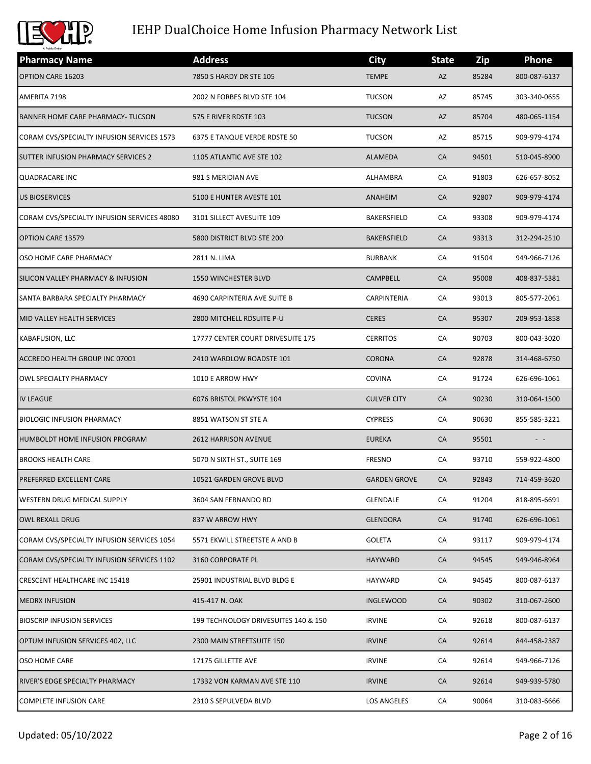

| <b>Pharmacy Name</b>                        | <b>Address</b>                       | <b>City</b>         | <b>State</b> | Zip   | Phone        |
|---------------------------------------------|--------------------------------------|---------------------|--------------|-------|--------------|
| <b>OPTION CARE 16203</b>                    | 7850 S HARDY DR STE 105              | <b>TEMPE</b>        | AZ           | 85284 | 800-087-6137 |
| AMERITA 7198                                | 2002 N FORBES BLVD STE 104           | <b>TUCSON</b>       | AZ           | 85745 | 303-340-0655 |
| BANNER HOME CARE PHARMACY- TUCSON           | 575 E RIVER RDSTE 103                | <b>TUCSON</b>       | AZ           | 85704 | 480-065-1154 |
| CORAM CVS/SPECIALTY INFUSION SERVICES 1573  | 6375 E TANQUE VERDE RDSTE 50         | <b>TUCSON</b>       | AZ           | 85715 | 909-979-4174 |
| SUTTER INFUSION PHARMACY SERVICES 2         | 1105 ATLANTIC AVE STE 102            | ALAMEDA             | CA           | 94501 | 510-045-8900 |
| <b>QUADRACARE INC</b>                       | 981 S MERIDIAN AVE                   | ALHAMBRA            | CA           | 91803 | 626-657-8052 |
| <b>US BIOSERVICES</b>                       | 5100 E HUNTER AVESTE 101             | ANAHEIM             | CA           | 92807 | 909-979-4174 |
| CORAM CVS/SPECIALTY INFUSION SERVICES 48080 | 3101 SILLECT AVESUITE 109            | BAKERSFIELD         | CA           | 93308 | 909-979-4174 |
| <b>OPTION CARE 13579</b>                    | 5800 DISTRICT BLVD STE 200           | <b>BAKERSFIELD</b>  | CA           | 93313 | 312-294-2510 |
| OSO HOME CARE PHARMACY                      | 2811 N. LIMA                         | <b>BURBANK</b>      | CA           | 91504 | 949-966-7126 |
| SILICON VALLEY PHARMACY & INFUSION          | 1550 WINCHESTER BLVD                 | CAMPBELL            | CA           | 95008 | 408-837-5381 |
| SANTA BARBARA SPECIALTY PHARMACY            | 4690 CARPINTERIA AVE SUITE B         | CARPINTERIA         | CA           | 93013 | 805-577-2061 |
| <b>MID VALLEY HEALTH SERVICES</b>           | 2800 MITCHELL RDSUITE P-U            | <b>CERES</b>        | CA           | 95307 | 209-953-1858 |
| KABAFUSION, LLC                             | 17777 CENTER COURT DRIVESUITE 175    | <b>CERRITOS</b>     | CA           | 90703 | 800-043-3020 |
| ACCREDO HEALTH GROUP INC 07001              | 2410 WARDLOW ROADSTE 101             | <b>CORONA</b>       | CA           | 92878 | 314-468-6750 |
| <b>OWL SPECIALTY PHARMACY</b>               | 1010 E ARROW HWY                     | COVINA              | CA           | 91724 | 626-696-1061 |
| <b>IV LEAGUE</b>                            | 6076 BRISTOL PKWYSTE 104             | <b>CULVER CITY</b>  | CA           | 90230 | 310-064-1500 |
| <b>BIOLOGIC INFUSION PHARMACY</b>           | 8851 WATSON ST STE A                 | <b>CYPRESS</b>      | CA           | 90630 | 855-585-3221 |
| <b>HUMBOLDT HOME INFUSION PROGRAM</b>       | 2612 HARRISON AVENUE                 | <b>EUREKA</b>       | CA           | 95501 | $ -$         |
| <b>BROOKS HEALTH CARE</b>                   | 5070 N SIXTH ST., SUITE 169          | <b>FRESNO</b>       | CA           | 93710 | 559-922-4800 |
| <b>PREFERRED EXCELLENT CARE</b>             | 10521 GARDEN GROVE BLVD              | <b>GARDEN GROVE</b> | <b>CA</b>    | 92843 | 714-459-3620 |
| WESTERN DRUG MEDICAL SUPPLY                 | 3604 SAN FERNANDO RD                 | GLENDALE            | CA           | 91204 | 818-895-6691 |
| <b>OWL REXALL DRUG</b>                      | 837 W ARROW HWY                      | <b>GLENDORA</b>     | CA           | 91740 | 626-696-1061 |
| CORAM CVS/SPECIALTY INFUSION SERVICES 1054  | 5571 EKWILL STREETSTE A AND B        | GOLETA              | CA           | 93117 | 909-979-4174 |
| CORAM CVS/SPECIALTY INFUSION SERVICES 1102  | 3160 CORPORATE PL                    | <b>HAYWARD</b>      | CA           | 94545 | 949-946-8964 |
| CRESCENT HEALTHCARE INC 15418               | 25901 INDUSTRIAL BLVD BLDG E         | HAYWARD             | CA           | 94545 | 800-087-6137 |
| <b>MEDRX INFUSION</b>                       | 415-417 N. OAK                       | <b>INGLEWOOD</b>    | CA           | 90302 | 310-067-2600 |
| <b>BIOSCRIP INFUSION SERVICES</b>           | 199 TECHNOLOGY DRIVESUITES 140 & 150 | <b>IRVINE</b>       | CA           | 92618 | 800-087-6137 |
| OPTUM INFUSION SERVICES 402, LLC            | 2300 MAIN STREETSUITE 150            | <b>IRVINE</b>       | CA           | 92614 | 844-458-2387 |
| OSO HOME CARE                               | 17175 GILLETTE AVE                   | <b>IRVINE</b>       | CA           | 92614 | 949-966-7126 |
| RIVER'S EDGE SPECIALTY PHARMACY             | 17332 VON KARMAN AVE STE 110         | <b>IRVINE</b>       | CA           | 92614 | 949-939-5780 |
| COMPLETE INFUSION CARE                      | 2310 S SEPULVEDA BLVD                | LOS ANGELES         | CA           | 90064 | 310-083-6666 |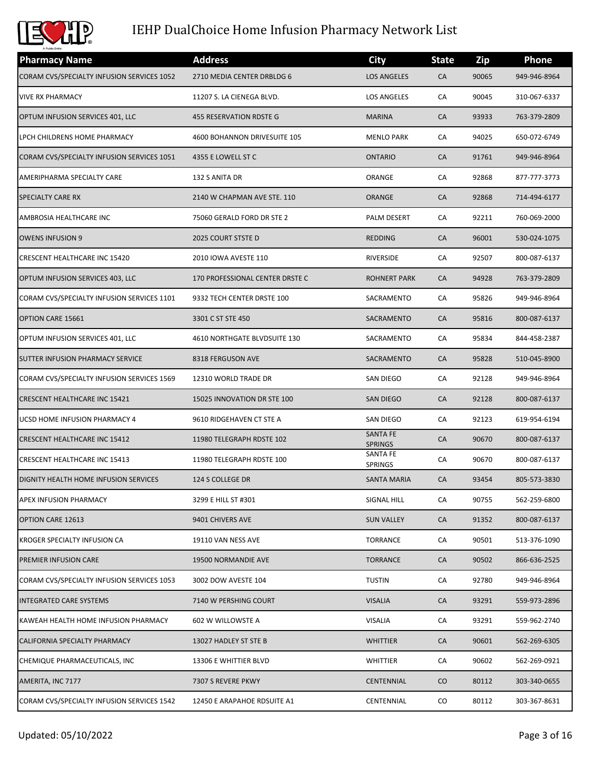

| <b>Pharmacy Name</b>                       | <b>Address</b>                  | <b>City</b>                       | <b>State</b> | <b>Zip</b> | Phone        |
|--------------------------------------------|---------------------------------|-----------------------------------|--------------|------------|--------------|
| CORAM CVS/SPECIALTY INFUSION SERVICES 1052 | 2710 MEDIA CENTER DRBLDG 6      | <b>LOS ANGELES</b>                | CA           | 90065      | 949-946-8964 |
| <b>VIVE RX PHARMACY</b>                    | 11207 S. LA CIENEGA BLVD.       | LOS ANGELES                       | CA           | 90045      | 310-067-6337 |
| OPTUM INFUSION SERVICES 401, LLC           | <b>455 RESERVATION RDSTE G</b>  | <b>MARINA</b>                     | CA           | 93933      | 763-379-2809 |
| LPCH CHILDRENS HOME PHARMACY               | 4600 BOHANNON DRIVESUITE 105    | <b>MENLO PARK</b>                 | CA           | 94025      | 650-072-6749 |
| CORAM CVS/SPECIALTY INFUSION SERVICES 1051 | 4355 E LOWELL ST C              | <b>ONTARIO</b>                    | CA           | 91761      | 949-946-8964 |
| AMERIPHARMA SPECIALTY CARE                 | 132 S ANITA DR                  | ORANGE                            | CA           | 92868      | 877-777-3773 |
| <b>SPECIALTY CARE RX</b>                   | 2140 W CHAPMAN AVE STE. 110     | ORANGE                            | CA           | 92868      | 714-494-6177 |
| AMBROSIA HEALTHCARE INC                    | 75060 GERALD FORD DR STE 2      | PALM DESERT                       | CA           | 92211      | 760-069-2000 |
| <b>OWENS INFUSION 9</b>                    | 2025 COURT STSTE D              | <b>REDDING</b>                    | CA           | 96001      | 530-024-1075 |
| <b>CRESCENT HEALTHCARE INC 15420</b>       | 2010 IOWA AVESTE 110            | RIVERSIDE                         | CA           | 92507      | 800-087-6137 |
| OPTUM INFUSION SERVICES 403, LLC           | 170 PROFESSIONAL CENTER DRSTE C | ROHNERT PARK                      | CA           | 94928      | 763-379-2809 |
| CORAM CVS/SPECIALTY INFUSION SERVICES 1101 | 9332 TECH CENTER DRSTE 100      | SACRAMENTO                        | CA           | 95826      | 949-946-8964 |
| OPTION CARE 15661                          | 3301 C ST STE 450               | SACRAMENTO                        | CA           | 95816      | 800-087-6137 |
| OPTUM INFUSION SERVICES 401, LLC           | 4610 NORTHGATE BLVDSUITE 130    | SACRAMENTO                        | CA           | 95834      | 844-458-2387 |
| SUTTER INFUSION PHARMACY SERVICE           | 8318 FERGUSON AVE               | SACRAMENTO                        | CA           | 95828      | 510-045-8900 |
| CORAM CVS/SPECIALTY INFUSION SERVICES 1569 | 12310 WORLD TRADE DR            | SAN DIEGO                         | CA           | 92128      | 949-946-8964 |
| <b>CRESCENT HEALTHCARE INC 15421</b>       | 15025 INNOVATION DR STE 100     | <b>SAN DIEGO</b>                  | CA           | 92128      | 800-087-6137 |
| UCSD HOME INFUSION PHARMACY 4              | 9610 RIDGEHAVEN CT STE A        | SAN DIEGO                         | CA           | 92123      | 619-954-6194 |
| <b>CRESCENT HEALTHCARE INC 15412</b>       | 11980 TELEGRAPH RDSTE 102       | <b>SANTA FE</b><br><b>SPRINGS</b> | CA           | 90670      | 800-087-6137 |
| <b>CRESCENT HEALTHCARE INC 15413</b>       | 11980 TELEGRAPH RDSTE 100       | SANTA FE<br><b>SPRINGS</b>        | CA           | 90670      | 800-087-6137 |
| DIGNITY HEALTH HOME INFUSION SERVICES      | 124 S COLLEGE DR                | SANTA MARIA                       | CA           | 93454      | 805-573-3830 |
| APEX INFUSION PHARMACY                     | 3299 E HILL ST #301             | SIGNAL HILL                       | CA           | 90755      | 562-259-6800 |
| <b>OPTION CARE 12613</b>                   | 9401 CHIVERS AVE                | <b>SUN VALLEY</b>                 | CA           | 91352      | 800-087-6137 |
| <b>KROGER SPECIALTY INFUSION CA</b>        | 19110 VAN NESS AVE              | <b>TORRANCE</b>                   | СA           | 90501      | 513-376-1090 |
| <b>PREMIER INFUSION CARE</b>               | 19500 NORMANDIE AVE             | <b>TORRANCE</b>                   | CA           | 90502      | 866-636-2525 |
| CORAM CVS/SPECIALTY INFUSION SERVICES 1053 | 3002 DOW AVESTE 104             | <b>TUSTIN</b>                     | CA           | 92780      | 949-946-8964 |
| <b>INTEGRATED CARE SYSTEMS</b>             | 7140 W PERSHING COURT           | <b>VISALIA</b>                    | CA           | 93291      | 559-973-2896 |
| KAWEAH HEALTH HOME INFUSION PHARMACY       | 602 W WILLOWSTE A               | <b>VISALIA</b>                    | CA           | 93291      | 559-962-2740 |
| CALIFORNIA SPECIALTY PHARMACY              | 13027 HADLEY ST STE B           | <b>WHITTIER</b>                   | CA           | 90601      | 562-269-6305 |
| CHEMIQUE PHARMACEUTICALS, INC              | 13306 E WHITTIER BLVD           | <b>WHITTIER</b>                   | CA           | 90602      | 562-269-0921 |
| AMERITA, INC 7177                          | 7307 S REVERE PKWY              | CENTENNIAL                        | CO           | 80112      | 303-340-0655 |
| CORAM CVS/SPECIALTY INFUSION SERVICES 1542 | 12450 E ARAPAHOE RDSUITE A1     | CENTENNIAL                        | CO           | 80112      | 303-367-8631 |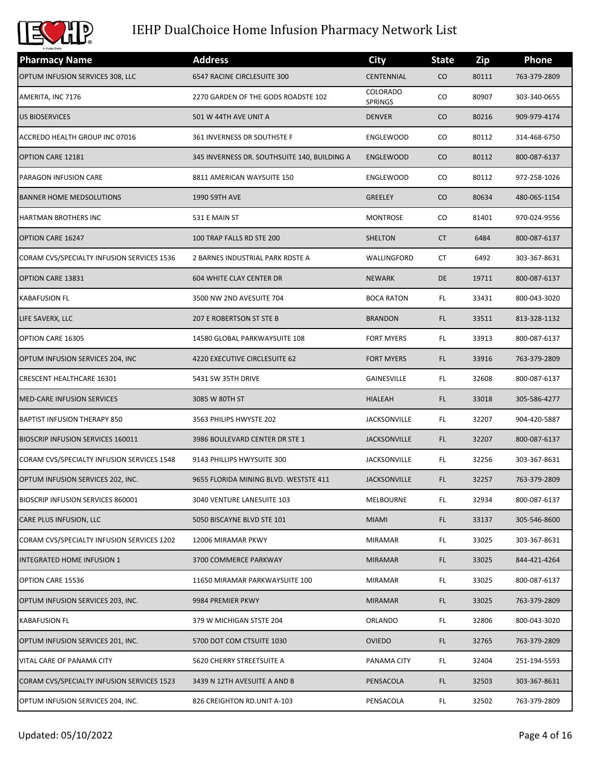

| <b>Pharmacy Name</b>                       | <b>Address</b>                               | <b>City</b>                | <b>State</b> | Zip   | Phone        |
|--------------------------------------------|----------------------------------------------|----------------------------|--------------|-------|--------------|
| OPTUM INFUSION SERVICES 308, LLC           | 6547 RACINE CIRCLESUITE 300                  | CENTENNIAL                 | CO           | 80111 | 763-379-2809 |
| AMERITA, INC 7176                          | 2270 GARDEN OF THE GODS ROADSTE 102          | COLORADO<br><b>SPRINGS</b> | CO           | 80907 | 303-340-0655 |
| <b>US BIOSERVICES</b>                      | 501 W 44TH AVE UNIT A                        | <b>DENVER</b>              | CO           | 80216 | 909-979-4174 |
| ACCREDO HEALTH GROUP INC 07016             | 361 INVERNESS DR SOUTHSTE F                  | <b>ENGLEWOOD</b>           | CO           | 80112 | 314-468-6750 |
| <b>OPTION CARE 12181</b>                   | 345 INVERNESS DR. SOUTHSUITE 140, BUILDING A | <b>ENGLEWOOD</b>           | $\rm CO$     | 80112 | 800-087-6137 |
| PARAGON INFUSION CARE                      | 8811 AMERICAN WAYSUITE 150                   | <b>ENGLEWOOD</b>           | CO           | 80112 | 972-258-1026 |
| <b>BANNER HOME MEDSOLUTIONS</b>            | 1990 59TH AVE                                | <b>GREELEY</b>             | $\rm CO$     | 80634 | 480-065-1154 |
| HARTMAN BROTHERS INC                       | 531 E MAIN ST                                | <b>MONTROSE</b>            | CO           | 81401 | 970-024-9556 |
| <b>OPTION CARE 16247</b>                   | 100 TRAP FALLS RD STE 200                    | <b>SHELTON</b>             | <b>CT</b>    | 6484  | 800-087-6137 |
| CORAM CVS/SPECIALTY INFUSION SERVICES 1536 | 2 BARNES INDUSTRIAL PARK RDSTE A             | WALLINGFORD                | CT           | 6492  | 303-367-8631 |
| <b>OPTION CARE 13831</b>                   | 604 WHITE CLAY CENTER DR                     | <b>NEWARK</b>              | DE           | 19711 | 800-087-6137 |
| <b>KABAFUSION FL</b>                       | 3500 NW 2ND AVESUITE 704                     | <b>BOCA RATON</b>          | FL           | 33431 | 800-043-3020 |
| LIFE SAVERX, LLC                           | 207 E ROBERTSON ST STE B                     | <b>BRANDON</b>             | FL.          | 33511 | 813-328-1132 |
| OPTION CARE 16305                          | 14580 GLOBAL PARKWAYSUITE 108                | <b>FORT MYERS</b>          | FL.          | 33913 | 800-087-6137 |
| OPTUM INFUSION SERVICES 204, INC           | 4220 EXECUTIVE CIRCLESUITE 62                | <b>FORT MYERS</b>          | FL.          | 33916 | 763-379-2809 |
| CRESCENT HEALTHCARE 16301                  | 5431 SW 35TH DRIVE                           | GAINESVILLE                | FL           | 32608 | 800-087-6137 |
| <b>MED-CARE INFUSION SERVICES</b>          | 3085 W 80TH ST                               | <b>HIALEAH</b>             | FL.          | 33018 | 305-586-4277 |
| <b>BAPTIST INFUSION THERAPY 850</b>        | 3563 PHILIPS HWYSTE 202                      | <b>JACKSONVILLE</b>        | FL.          | 32207 | 904-420-5887 |
| <b>BIOSCRIP INFUSION SERVICES 160011</b>   | 3986 BOULEVARD CENTER DR STE 1               | <b>JACKSONVILLE</b>        | FL.          | 32207 | 800-087-6137 |
| CORAM CVS/SPECIALTY INFUSION SERVICES 1548 | 9143 PHILLIPS HWYSUITE 300                   | <b>JACKSONVILLE</b>        | FL.          | 32256 | 303-367-8631 |
| OPTUM INFUSION SERVICES 202, INC.          | 9655 FLORIDA MINING BLVD. WESTSTE 411        | <b>JACKSONVILLE</b>        | FL           | 32257 | 763-379-2809 |
| <b>BIOSCRIP INFUSION SERVICES 860001</b>   | 3040 VENTURE LANESUITE 103                   | <b>MELBOURNE</b>           | FL.          | 32934 | 800-087-6137 |
| CARE PLUS INFUSION, LLC                    | 5050 BISCAYNE BLVD STE 101                   | <b>MIAMI</b>               | FL.          | 33137 | 305-546-8600 |
| CORAM CVS/SPECIALTY INFUSION SERVICES 1202 | 12006 MIRAMAR PKWY                           | <b>MIRAMAR</b>             | FL.          | 33025 | 303-367-8631 |
| <b>INTEGRATED HOME INFUSION 1</b>          | 3700 COMMERCE PARKWAY                        | <b>MIRAMAR</b>             | FL.          | 33025 | 844-421-4264 |
| OPTION CARE 15536                          | 11650 MIRAMAR PARKWAYSUITE 100               | <b>MIRAMAR</b>             | FL           | 33025 | 800-087-6137 |
| OPTUM INFUSION SERVICES 203, INC.          | 9984 PREMIER PKWY                            | <b>MIRAMAR</b>             | FL.          | 33025 | 763-379-2809 |
| <b>KABAFUSION FL</b>                       | 379 W MICHIGAN STSTE 204                     | ORLANDO                    | FL.          | 32806 | 800-043-3020 |
| OPTUM INFUSION SERVICES 201, INC.          | 5700 DOT COM CTSUITE 1030                    | <b>OVIEDO</b>              | FL.          | 32765 | 763-379-2809 |
| VITAL CARE OF PANAMA CITY                  | 5620 CHERRY STREETSUITE A                    | PANAMA CITY                | FL.          | 32404 | 251-194-5593 |
| CORAM CVS/SPECIALTY INFUSION SERVICES 1523 | 3439 N 12TH AVESUITE A AND B                 | PENSACOLA                  | FL.          | 32503 | 303-367-8631 |
| OPTUM INFUSION SERVICES 204, INC.          | 826 CREIGHTON RD.UNIT A-103                  | PENSACOLA                  | FL.          | 32502 | 763-379-2809 |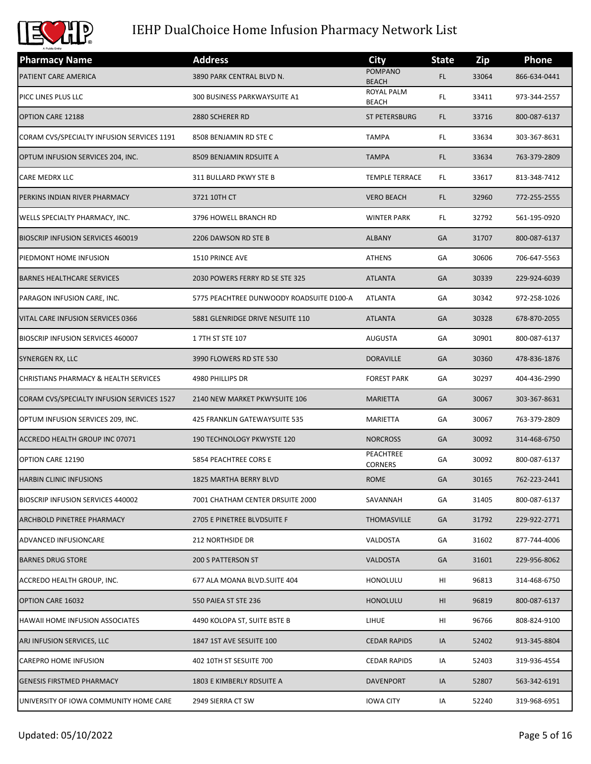

| <b>Pharmacy Name</b>                       | <b>Address</b>                           | <b>City</b>                    | <b>State</b> | Zip   | Phone        |
|--------------------------------------------|------------------------------------------|--------------------------------|--------------|-------|--------------|
| PATIENT CARE AMERICA                       | 3890 PARK CENTRAL BLVD N.                | <b>POMPANO</b><br><b>BEACH</b> | FL           | 33064 | 866-634-0441 |
| PICC LINES PLUS LLC                        | 300 BUSINESS PARKWAYSUITE A1             | ROYAL PALM<br><b>BEACH</b>     | FL.          | 33411 | 973-344-2557 |
| OPTION CARE 12188                          | 2880 SCHERER RD                          | ST PETERSBURG                  | FL.          | 33716 | 800-087-6137 |
| CORAM CVS/SPECIALTY INFUSION SERVICES 1191 | 8508 BENJAMIN RD STE C                   | <b>TAMPA</b>                   | FL.          | 33634 | 303-367-8631 |
| OPTUM INFUSION SERVICES 204, INC.          | 8509 BENJAMIN RDSUITE A                  | <b>TAMPA</b>                   | FL.          | 33634 | 763-379-2809 |
| CARE MEDRX LLC                             | 311 BULLARD PKWY STE B                   | <b>TEMPLE TERRACE</b>          | FL.          | 33617 | 813-348-7412 |
| PERKINS INDIAN RIVER PHARMACY              | 3721 10TH CT                             | <b>VERO BEACH</b>              | FL.          | 32960 | 772-255-2555 |
| WELLS SPECIALTY PHARMACY, INC.             | 3796 HOWELL BRANCH RD                    | <b>WINTER PARK</b>             | FL.          | 32792 | 561-195-0920 |
| <b>BIOSCRIP INFUSION SERVICES 460019</b>   | 2206 DAWSON RD STE B                     | <b>ALBANY</b>                  | GA           | 31707 | 800-087-6137 |
| PIEDMONT HOME INFUSION                     | 1510 PRINCE AVE                          | <b>ATHENS</b>                  | GA           | 30606 | 706-647-5563 |
| <b>BARNES HEALTHCARE SERVICES</b>          | 2030 POWERS FERRY RD SE STE 325          | <b>ATLANTA</b>                 | GA           | 30339 | 229-924-6039 |
| PARAGON INFUSION CARE, INC.                | 5775 PEACHTREE DUNWOODY ROADSUITE D100-A | <b>ATLANTA</b>                 | GA           | 30342 | 972-258-1026 |
| VITAL CARE INFUSION SERVICES 0366          | 5881 GLENRIDGE DRIVE NESUITE 110         | <b>ATLANTA</b>                 | GA           | 30328 | 678-870-2055 |
| BIOSCRIP INFUSION SERVICES 460007          | 17TH ST STE 107                          | <b>AUGUSTA</b>                 | GA           | 30901 | 800-087-6137 |
| SYNERGEN RX, LLC                           | 3990 FLOWERS RD STE 530                  | <b>DORAVILLE</b>               | GA           | 30360 | 478-836-1876 |
| CHRISTIANS PHARMACY & HEALTH SERVICES      | 4980 PHILLIPS DR                         | <b>FOREST PARK</b>             | GA           | 30297 | 404-436-2990 |
| CORAM CVS/SPECIALTY INFUSION SERVICES 1527 | 2140 NEW MARKET PKWYSUITE 106            | <b>MARIETTA</b>                | GA           | 30067 | 303-367-8631 |
| OPTUM INFUSION SERVICES 209, INC.          | 425 FRANKLIN GATEWAYSUITE 535            | MARIETTA                       | GA           | 30067 | 763-379-2809 |
| ACCREDO HEALTH GROUP INC 07071             | 190 TECHNOLOGY PKWYSTE 120               | <b>NORCROSS</b>                | GA           | 30092 | 314-468-6750 |
| <b>OPTION CARE 12190</b>                   | 5854 PEACHTREE CORS E                    | PEACHTREE<br><b>CORNERS</b>    | GA           | 30092 | 800-087-6137 |
| <b>HARBIN CLINIC INFUSIONS</b>             | 1825 MARTHA BERRY BLVD                   | <b>ROME</b>                    | GA           | 30165 | 762-223-2441 |
| <b>BIOSCRIP INFUSION SERVICES 440002</b>   | 7001 CHATHAM CENTER DRSUITE 2000         | SAVANNAH                       | GA           | 31405 | 800-087-6137 |
| <b>ARCHBOLD PINETREE PHARMACY</b>          | 2705 E PINETREE BLVDSUITE F              | <b>THOMASVILLE</b>             | GA           | 31792 | 229-922-2771 |
| ADVANCED INFUSIONCARE                      | 212 NORTHSIDE DR                         | VALDOSTA                       | GA           | 31602 | 877-744-4006 |
| <b>BARNES DRUG STORE</b>                   | 200 S PATTERSON ST                       | VALDOSTA                       | GA           | 31601 | 229-956-8062 |
| ACCREDO HEALTH GROUP, INC.                 | 677 ALA MOANA BLVD. SUITE 404            | <b>HONOLULU</b>                | HI           | 96813 | 314-468-6750 |
| <b>OPTION CARE 16032</b>                   | 550 PAIEA ST STE 236                     | <b>HONOLULU</b>                | HI           | 96819 | 800-087-6137 |
| <b>HAWAII HOME INFUSION ASSOCIATES</b>     | 4490 KOLOPA ST, SUITE BSTE B             | LIHUE                          | HI           | 96766 | 808-824-9100 |
| ARJ INFUSION SERVICES, LLC                 | 1847 1ST AVE SESUITE 100                 | <b>CEDAR RAPIDS</b>            | IA           | 52402 | 913-345-8804 |
| <b>CAREPRO HOME INFUSION</b>               | 402 10TH ST SESUITE 700                  | <b>CEDAR RAPIDS</b>            | IA           | 52403 | 319-936-4554 |
| <b>GENESIS FIRSTMED PHARMACY</b>           | 1803 E KIMBERLY RDSUITE A                | <b>DAVENPORT</b>               | IA           | 52807 | 563-342-6191 |
| UNIVERSITY OF IOWA COMMUNITY HOME CARE     | 2949 SIERRA CT SW                        | <b>IOWA CITY</b>               | IA           | 52240 | 319-968-6951 |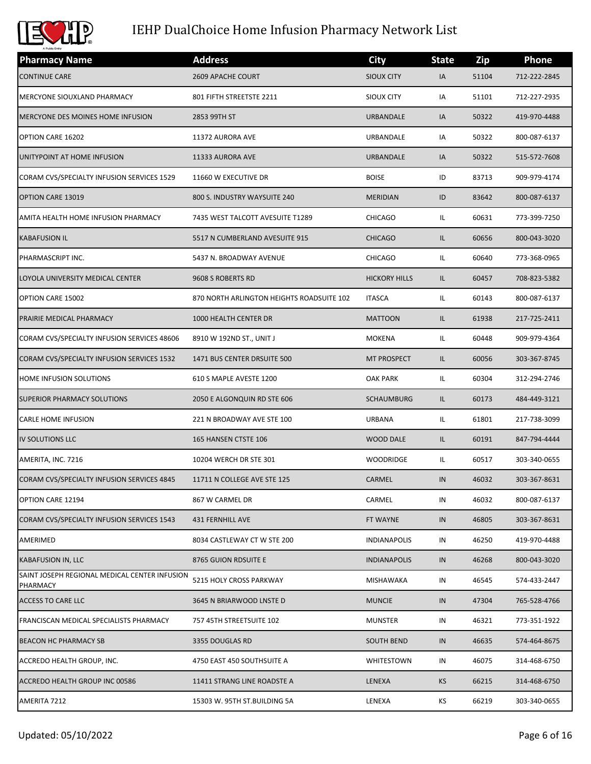

| <b>Pharmacy Name</b>                                      | <b>Address</b>                            | <b>City</b>          | <b>State</b> | Zip   | Phone        |
|-----------------------------------------------------------|-------------------------------------------|----------------------|--------------|-------|--------------|
| <b>CONTINUE CARE</b>                                      | 2609 APACHE COURT                         | <b>SIOUX CITY</b>    | IA           | 51104 | 712-222-2845 |
| MERCYONE SIOUXLAND PHARMACY                               | 801 FIFTH STREETSTE 2211                  | SIOUX CITY           | IA           | 51101 | 712-227-2935 |
| MERCYONE DES MOINES HOME INFUSION                         | 2853 99TH ST                              | URBANDALE            | IA           | 50322 | 419-970-4488 |
| OPTION CARE 16202                                         | 11372 AURORA AVE                          | URBANDALE            | IA           | 50322 | 800-087-6137 |
| UNITYPOINT AT HOME INFUSION                               | 11333 AURORA AVE                          | URBANDALE            | IA           | 50322 | 515-572-7608 |
| CORAM CVS/SPECIALTY INFUSION SERVICES 1529                | 11660 W EXECUTIVE DR                      | <b>BOISE</b>         | ID           | 83713 | 909-979-4174 |
| <b>OPTION CARE 13019</b>                                  | 800 S. INDUSTRY WAYSUITE 240              | <b>MERIDIAN</b>      | ID           | 83642 | 800-087-6137 |
| AMITA HEALTH HOME INFUSION PHARMACY                       | 7435 WEST TALCOTT AVESUITE T1289          | <b>CHICAGO</b>       | IL.          | 60631 | 773-399-7250 |
| <b>KABAFUSION IL</b>                                      | 5517 N CUMBERLAND AVESUITE 915            | <b>CHICAGO</b>       | IL.          | 60656 | 800-043-3020 |
| PHARMASCRIPT INC.                                         | 5437 N. BROADWAY AVENUE                   | <b>CHICAGO</b>       | IL.          | 60640 | 773-368-0965 |
| LOYOLA UNIVERSITY MEDICAL CENTER                          | 9608 S ROBERTS RD                         | <b>HICKORY HILLS</b> | IL.          | 60457 | 708-823-5382 |
| <b>OPTION CARE 15002</b>                                  | 870 NORTH ARLINGTON HEIGHTS ROADSUITE 102 | <b>ITASCA</b>        | IL.          | 60143 | 800-087-6137 |
| PRAIRIE MEDICAL PHARMACY                                  | 1000 HEALTH CENTER DR                     | <b>MATTOON</b>       | IL.          | 61938 | 217-725-2411 |
| CORAM CVS/SPECIALTY INFUSION SERVICES 48606               | 8910 W 192ND ST., UNIT J                  | <b>MOKENA</b>        | IL.          | 60448 | 909-979-4364 |
| CORAM CVS/SPECIALTY INFUSION SERVICES 1532                | 1471 BUS CENTER DRSUITE 500               | MT PROSPECT          | IL.          | 60056 | 303-367-8745 |
| HOME INFUSION SOLUTIONS                                   | 610 S MAPLE AVESTE 1200                   | <b>OAK PARK</b>      | IL.          | 60304 | 312-294-2746 |
| <b>SUPERIOR PHARMACY SOLUTIONS</b>                        | 2050 E ALGONQUIN RD STE 606               | <b>SCHAUMBURG</b>    | IL.          | 60173 | 484-449-3121 |
| <b>CARLE HOME INFUSION</b>                                | 221 N BROADWAY AVE STE 100                | URBANA               | IL           | 61801 | 217-738-3099 |
| IV SOLUTIONS LLC                                          | 165 HANSEN CTSTE 106                      | <b>WOOD DALE</b>     | IL.          | 60191 | 847-794-4444 |
| AMERITA, INC. 7216                                        | 10204 WERCH DR STE 301                    | <b>WOODRIDGE</b>     | IL.          | 60517 | 303-340-0655 |
| CORAM CVS/SPECIALTY INFUSION SERVICES 4845                | 11711 N COLLEGE AVE STE 125               | CARMEL               | IN           | 46032 | 303-367-8631 |
| <b>OPTION CARE 12194</b>                                  | 867 W CARMEL DR                           | CARMEL               | IN           | 46032 | 800-087-6137 |
| CORAM CVS/SPECIALTY INFUSION SERVICES 1543                | 431 FERNHILL AVE                          | FT WAYNE             | IN           | 46805 | 303-367-8631 |
| AMERIMED                                                  | 8034 CASTLEWAY CT W STE 200               | <b>INDIANAPOLIS</b>  | IN           | 46250 | 419-970-4488 |
| <b>KABAFUSION IN, LLC</b>                                 | 8765 GUION RDSUITE E                      | <b>INDIANAPOLIS</b>  | IN           | 46268 | 800-043-3020 |
| SAINT JOSEPH REGIONAL MEDICAL CENTER INFUSION<br>PHARMACY | 5215 HOLY CROSS PARKWAY                   | <b>MISHAWAKA</b>     | IN           | 46545 | 574-433-2447 |
| <b>ACCESS TO CARE LLC</b>                                 | 3645 N BRIARWOOD LNSTE D                  | <b>MUNCIE</b>        | IN           | 47304 | 765-528-4766 |
| FRANCISCAN MEDICAL SPECIALISTS PHARMACY                   | 757 45TH STREETSUITE 102                  | <b>MUNSTER</b>       | IN           | 46321 | 773-351-1922 |
| <b>BEACON HC PHARMACY SB</b>                              | 3355 DOUGLAS RD                           | <b>SOUTH BEND</b>    | IN           | 46635 | 574-464-8675 |
| ACCREDO HEALTH GROUP, INC.                                | 4750 EAST 450 SOUTHSUITE A                | WHITESTOWN           | IN           | 46075 | 314-468-6750 |
| ACCREDO HEALTH GROUP INC 00586                            | 11411 STRANG LINE ROADSTE A               | LENEXA               | <b>KS</b>    | 66215 | 314-468-6750 |
| AMERITA 7212                                              | 15303 W. 95TH ST.BUILDING 5A              | LENEXA               | КS           | 66219 | 303-340-0655 |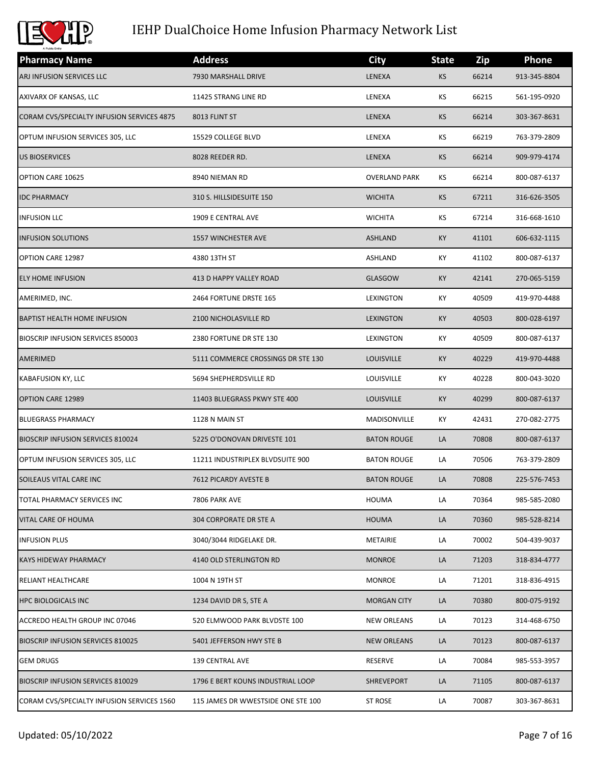

| <b>Pharmacy Name</b>                       | <b>Address</b>                     | <b>City</b>          | <b>State</b> | Zip   | Phone        |
|--------------------------------------------|------------------------------------|----------------------|--------------|-------|--------------|
| ARJ INFUSION SERVICES LLC                  | 7930 MARSHALL DRIVE                | LENEXA               | <b>KS</b>    | 66214 | 913-345-8804 |
| AXIVARX OF KANSAS, LLC                     | 11425 STRANG LINE RD               | LENEXA               | КS           | 66215 | 561-195-0920 |
| CORAM CVS/SPECIALTY INFUSION SERVICES 4875 | 8013 FLINT ST                      | LENEXA               | <b>KS</b>    | 66214 | 303-367-8631 |
| OPTUM INFUSION SERVICES 305, LLC           | 15529 COLLEGE BLVD                 | LENEXA               | КS           | 66219 | 763-379-2809 |
| <b>US BIOSERVICES</b>                      | 8028 REEDER RD.                    | LENEXA               | <b>KS</b>    | 66214 | 909-979-4174 |
| OPTION CARE 10625                          | 8940 NIEMAN RD                     | <b>OVERLAND PARK</b> | КS           | 66214 | 800-087-6137 |
| <b>IDC PHARMACY</b>                        | 310 S. HILLSIDESUITE 150           | <b>WICHITA</b>       | <b>KS</b>    | 67211 | 316-626-3505 |
| <b>INFUSION LLC</b>                        | 1909 E CENTRAL AVE                 | <b>WICHITA</b>       | КS           | 67214 | 316-668-1610 |
| <b>INFUSION SOLUTIONS</b>                  | 1557 WINCHESTER AVE                | <b>ASHLAND</b>       | KY           | 41101 | 606-632-1115 |
| OPTION CARE 12987                          | 4380 13TH ST                       | ASHLAND              | KY           | 41102 | 800-087-6137 |
| <b>ELY HOME INFUSION</b>                   | 413 D HAPPY VALLEY ROAD            | <b>GLASGOW</b>       | KY           | 42141 | 270-065-5159 |
| AMERIMED, INC.                             | 2464 FORTUNE DRSTE 165             | LEXINGTON            | KY           | 40509 | 419-970-4488 |
| <b>BAPTIST HEALTH HOME INFUSION</b>        | 2100 NICHOLASVILLE RD              | <b>LEXINGTON</b>     | KY           | 40503 | 800-028-6197 |
| BIOSCRIP INFUSION SERVICES 850003          | 2380 FORTUNE DR STE 130            | LEXINGTON            | КY           | 40509 | 800-087-6137 |
| AMERIMED                                   | 5111 COMMERCE CROSSINGS DR STE 130 | <b>LOUISVILLE</b>    | KY           | 40229 | 419-970-4488 |
| KABAFUSION KY, LLC                         | 5694 SHEPHERDSVILLE RD             | <b>LOUISVILLE</b>    | KY           | 40228 | 800-043-3020 |
| <b>OPTION CARE 12989</b>                   | 11403 BLUEGRASS PKWY STE 400       | LOUISVILLE           | KY           | 40299 | 800-087-6137 |
| <b>BLUEGRASS PHARMACY</b>                  | 1128 N MAIN ST                     | MADISONVILLE         | КY           | 42431 | 270-082-2775 |
| <b>BIOSCRIP INFUSION SERVICES 810024</b>   | 5225 O'DONOVAN DRIVESTE 101        | <b>BATON ROUGE</b>   | LA           | 70808 | 800-087-6137 |
| OPTUM INFUSION SERVICES 305, LLC           | 11211 INDUSTRIPLEX BLVDSUITE 900   | <b>BATON ROUGE</b>   | LA           | 70506 | 763-379-2809 |
| SOILEAUS VITAL CARE INC                    | 7612 PICARDY AVESTE B              | <b>BATON ROUGE</b>   | LA           | 70808 | 225-576-7453 |
| TOTAL PHARMACY SERVICES INC                | 7806 PARK AVE                      | <b>HOUMA</b>         | LA           | 70364 | 985-585-2080 |
| VITAL CARE OF HOUMA                        | <b>304 CORPORATE DR STE A</b>      | <b>HOUMA</b>         | LA           | 70360 | 985-528-8214 |
| <b>INFUSION PLUS</b>                       | 3040/3044 RIDGELAKE DR.            | <b>METAIRIE</b>      | LA           | 70002 | 504-439-9037 |
| <b>KAYS HIDEWAY PHARMACY</b>               | 4140 OLD STERLINGTON RD            | <b>MONROE</b>        | LA           | 71203 | 318-834-4777 |
| RELIANT HEALTHCARE                         | 1004 N 19TH ST                     | <b>MONROE</b>        | LA           | 71201 | 318-836-4915 |
| <b>HPC BIOLOGICALS INC</b>                 | 1234 DAVID DR S, STE A             | <b>MORGAN CITY</b>   | LA           | 70380 | 800-075-9192 |
| ACCREDO HEALTH GROUP INC 07046             | 520 ELMWOOD PARK BLVDSTE 100       | <b>NEW ORLEANS</b>   | LA           | 70123 | 314-468-6750 |
| <b>BIOSCRIP INFUSION SERVICES 810025</b>   | 5401 JEFFERSON HWY STE B           | <b>NEW ORLEANS</b>   | LA           | 70123 | 800-087-6137 |
| <b>GEM DRUGS</b>                           | 139 CENTRAL AVE                    | RESERVE              | LA           | 70084 | 985-553-3957 |
| <b>BIOSCRIP INFUSION SERVICES 810029</b>   | 1796 E BERT KOUNS INDUSTRIAL LOOP  | <b>SHREVEPORT</b>    | LA           | 71105 | 800-087-6137 |
| CORAM CVS/SPECIALTY INFUSION SERVICES 1560 | 115 JAMES DR WWESTSIDE ONE STE 100 | ST ROSE              | LA           | 70087 | 303-367-8631 |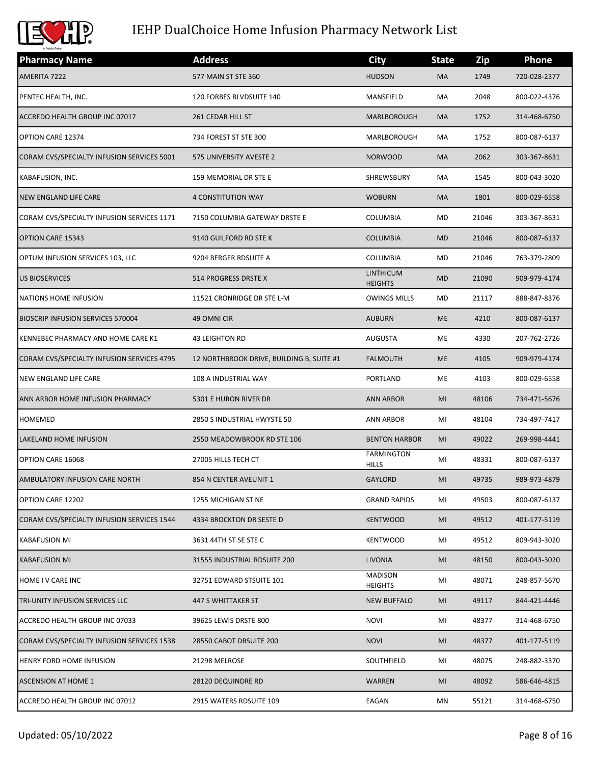

| <b>Pharmacy Name</b>                       | <b>Address</b>                            | <b>City</b>                        | <b>State</b> | Zip   | Phone        |
|--------------------------------------------|-------------------------------------------|------------------------------------|--------------|-------|--------------|
| AMERITA 7222                               | 577 MAIN ST STE 360                       | <b>HUDSON</b>                      | MA           | 1749  | 720-028-2377 |
| PENTEC HEALTH, INC.                        | 120 FORBES BLVDSUITE 140                  | MANSFIELD                          | MA           | 2048  | 800-022-4376 |
| ACCREDO HEALTH GROUP INC 07017             | 261 CEDAR HILL ST                         | MARLBOROUGH                        | <b>MA</b>    | 1752  | 314-468-6750 |
| OPTION CARE 12374                          | 734 FOREST ST STE 300                     | MARLBOROUGH                        | MA           | 1752  | 800-087-6137 |
| CORAM CVS/SPECIALTY INFUSION SERVICES 5001 | 575 UNIVERSITY AVESTE 2                   | <b>NORWOOD</b>                     | MA           | 2062  | 303-367-8631 |
| KABAFUSION, INC.                           | 159 MEMORIAL DR STE E                     | SHREWSBURY                         | MA           | 1545  | 800-043-3020 |
| NEW ENGLAND LIFE CARE                      | <b>4 CONSTITUTION WAY</b>                 | <b>WOBURN</b>                      | MA           | 1801  | 800-029-6558 |
| CORAM CVS/SPECIALTY INFUSION SERVICES 1171 | 7150 COLUMBIA GATEWAY DRSTE E             | COLUMBIA                           | MD           | 21046 | 303-367-8631 |
| <b>OPTION CARE 15343</b>                   | 9140 GUILFORD RD STE K                    | <b>COLUMBIA</b>                    | <b>MD</b>    | 21046 | 800-087-6137 |
| OPTUM INFUSION SERVICES 103, LLC           | 9204 BERGER RDSUITE A                     | COLUMBIA                           | MD           | 21046 | 763-379-2809 |
| <b>US BIOSERVICES</b>                      | 514 PROGRESS DRSTE X                      | <b>LINTHICUM</b><br><b>HEIGHTS</b> | <b>MD</b>    | 21090 | 909-979-4174 |
| NATIONS HOME INFUSION                      | 11521 CRONRIDGE DR STE L-M                | <b>OWINGS MILLS</b>                | MD           | 21117 | 888-847-8376 |
| <b>BIOSCRIP INFUSION SERVICES 570004</b>   | 49 OMNI CIR                               | <b>AUBURN</b>                      | <b>ME</b>    | 4210  | 800-087-6137 |
| KENNEBEC PHARMACY AND HOME CARE K1         | 43 LEIGHTON RD                            | <b>AUGUSTA</b>                     | ME           | 4330  | 207-762-2726 |
| CORAM CVS/SPECIALTY INFUSION SERVICES 4795 | 12 NORTHBROOK DRIVE, BUILDING B, SUITE #1 | <b>FALMOUTH</b>                    | ME           | 4105  | 909-979-4174 |
| NEW ENGLAND LIFE CARE                      | 108 A INDUSTRIAL WAY                      | PORTLAND                           | ME           | 4103  | 800-029-6558 |
| ANN ARBOR HOME INFUSION PHARMACY           | 5301 E HURON RIVER DR                     | <b>ANN ARBOR</b>                   | MI           | 48106 | 734-471-5676 |
| HOMEMED                                    | 2850 S INDUSTRIAL HWYSTE 50               | <b>ANN ARBOR</b>                   | MI           | 48104 | 734-497-7417 |
| LAKELAND HOME INFUSION                     | 2550 MEADOWBROOK RD STE 106               | <b>BENTON HARBOR</b>               | MI           | 49022 | 269-998-4441 |
| OPTION CARE 16068                          | 27005 HILLS TECH CT                       | <b>FARMINGTON</b><br><b>HILLS</b>  | MI           | 48331 | 800-087-6137 |
| <b>AMBULATORY INFUSION CARE NORTH</b>      | 854 N CENTER AVEUNIT 1                    | <b>GAYLORD</b>                     | MI           | 49735 | 989-973-4879 |
| <b>OPTION CARE 12202</b>                   | 1255 MICHIGAN ST NE                       | <b>GRAND RAPIDS</b>                | MI           | 49503 | 800-087-6137 |
| CORAM CVS/SPECIALTY INFUSION SERVICES 1544 | 4334 BROCKTON DR SESTE D                  | <b>KENTWOOD</b>                    | MI           | 49512 | 401-177-5119 |
| <b>KABAFUSION MI</b>                       | 3631 44TH ST SE STE C                     | <b>KENTWOOD</b>                    | MI           | 49512 | 809-943-3020 |
| <b>KABAFUSION MI</b>                       | 31555 INDUSTRIAL RDSUITE 200              | <b>LIVONIA</b>                     | MI           | 48150 | 800-043-3020 |
| HOME I V CARE INC                          | 32751 EDWARD STSUITE 101                  | <b>MADISON</b><br><b>HEIGHTS</b>   | MI           | 48071 | 248-857-5670 |
| TRI-UNITY INFUSION SERVICES LLC            | 447 S WHITTAKER ST                        | <b>NEW BUFFALO</b>                 | MI           | 49117 | 844-421-4446 |
| ACCREDO HEALTH GROUP INC 07033             | 39625 LEWIS DRSTE 800                     | <b>NOVI</b>                        | MI           | 48377 | 314-468-6750 |
| CORAM CVS/SPECIALTY INFUSION SERVICES 1538 | 28550 CABOT DRSUITE 200                   | <b>NOVI</b>                        | MI           | 48377 | 401-177-5119 |
| HENRY FORD HOME INFUSION                   | 21298 MELROSE                             | SOUTHFIELD                         | MI           | 48075 | 248-882-3370 |
| <b>ASCENSION AT HOME 1</b>                 | 28120 DEQUINDRE RD                        | WARREN                             | MI           | 48092 | 586-646-4815 |
| ACCREDO HEALTH GROUP INC 07012             | 2915 WATERS RDSUITE 109                   | EAGAN                              | MN           | 55121 | 314-468-6750 |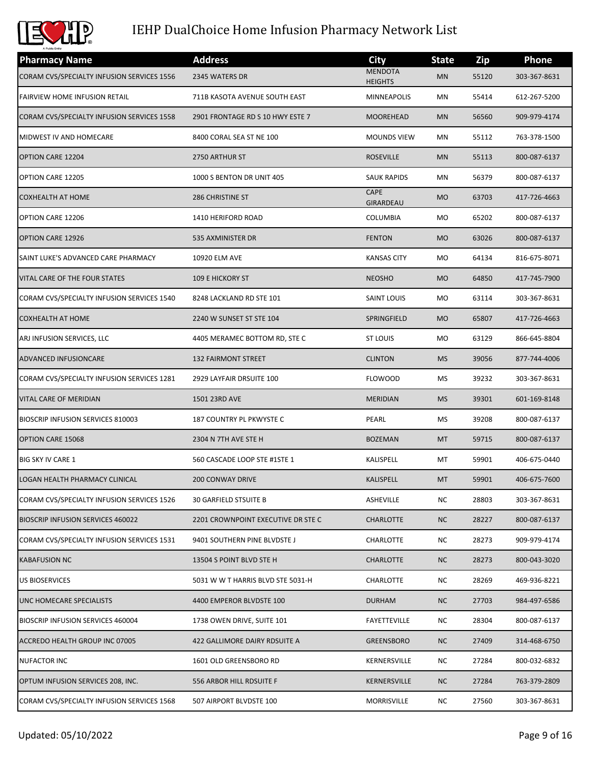

| <b>Pharmacy Name</b>                       | <b>Address</b>                     | <b>City</b>                      | <b>State</b> | Zip   | Phone        |
|--------------------------------------------|------------------------------------|----------------------------------|--------------|-------|--------------|
| CORAM CVS/SPECIALTY INFUSION SERVICES 1556 | 2345 WATERS DR                     | <b>MENDOTA</b><br><b>HEIGHTS</b> | <b>MN</b>    | 55120 | 303-367-8631 |
| <b>FAIRVIEW HOME INFUSION RETAIL</b>       | 711B KASOTA AVENUE SOUTH EAST      | MINNEAPOLIS                      | MN           | 55414 | 612-267-5200 |
| CORAM CVS/SPECIALTY INFUSION SERVICES 1558 | 2901 FRONTAGE RD S 10 HWY ESTE 7   | <b>MOOREHEAD</b>                 | <b>MN</b>    | 56560 | 909-979-4174 |
| MIDWEST IV AND HOMECARE                    | 8400 CORAL SEA ST NE 100           | <b>MOUNDS VIEW</b>               | MN           | 55112 | 763-378-1500 |
| <b>OPTION CARE 12204</b>                   | 2750 ARTHUR ST                     | <b>ROSEVILLE</b>                 | <b>MN</b>    | 55113 | 800-087-6137 |
| OPTION CARE 12205                          | 1000 S BENTON DR UNIT 405          | <b>SAUK RAPIDS</b>               | MN           | 56379 | 800-087-6137 |
| <b>COXHEALTH AT HOME</b>                   | 286 CHRISTINE ST                   | <b>CAPE</b><br>GIRARDEAU         | <b>MO</b>    | 63703 | 417-726-4663 |
| OPTION CARE 12206                          | 1410 HERIFORD ROAD                 | COLUMBIA                         | <b>MO</b>    | 65202 | 800-087-6137 |
| <b>OPTION CARE 12926</b>                   | 535 AXMINISTER DR                  | <b>FENTON</b>                    | <b>MO</b>    | 63026 | 800-087-6137 |
| SAINT LUKE'S ADVANCED CARE PHARMACY        | 10920 ELM AVE                      | <b>KANSAS CITY</b>               | <b>MO</b>    | 64134 | 816-675-8071 |
| <b>VITAL CARE OF THE FOUR STATES</b>       | <b>109 E HICKORY ST</b>            | <b>NEOSHO</b>                    | <b>MO</b>    | 64850 | 417-745-7900 |
| CORAM CVS/SPECIALTY INFUSION SERVICES 1540 | 8248 LACKLAND RD STE 101           | SAINT LOUIS                      | <b>MO</b>    | 63114 | 303-367-8631 |
| <b>COXHEALTH AT HOME</b>                   | 2240 W SUNSET ST STE 104           | SPRINGFIELD                      | <b>MO</b>    | 65807 | 417-726-4663 |
| ARJ INFUSION SERVICES, LLC                 | 4405 MERAMEC BOTTOM RD, STE C      | ST LOUIS                         | <b>MO</b>    | 63129 | 866-645-8804 |
| ADVANCED INFUSIONCARE                      | <b>132 FAIRMONT STREET</b>         | <b>CLINTON</b>                   | <b>MS</b>    | 39056 | 877-744-4006 |
| CORAM CVS/SPECIALTY INFUSION SERVICES 1281 | 2929 LAYFAIR DRSUITE 100           | <b>FLOWOOD</b>                   | <b>MS</b>    | 39232 | 303-367-8631 |
| <b>VITAL CARE OF MERIDIAN</b>              | 1501 23RD AVE                      | <b>MERIDIAN</b>                  | <b>MS</b>    | 39301 | 601-169-8148 |
| BIOSCRIP INFUSION SERVICES 810003          | 187 COUNTRY PL PKWYSTE C           | PEARL                            | <b>MS</b>    | 39208 | 800-087-6137 |
| <b>OPTION CARE 15068</b>                   | 2304 N 7TH AVE STE H               | <b>BOZEMAN</b>                   | <b>MT</b>    | 59715 | 800-087-6137 |
| <b>BIG SKY IV CARE 1</b>                   | 560 CASCADE LOOP STE #1STE 1       | KALISPELL                        | MT           | 59901 | 406-675-0440 |
| LOGAN HEALTH PHARMACY CLINICAL             | <b>200 CONWAY DRIVE</b>            | KALISPELL                        | <b>MT</b>    | 59901 | 406-675-7600 |
| CORAM CVS/SPECIALTY INFUSION SERVICES 1526 | <b>30 GARFIELD STSUITE B</b>       | ASHEVILLE                        | <b>NC</b>    | 28803 | 303-367-8631 |
| <b>BIOSCRIP INFUSION SERVICES 460022</b>   | 2201 CROWNPOINT EXECUTIVE DR STE C | <b>CHARLOTTE</b>                 | <b>NC</b>    | 28227 | 800-087-6137 |
| CORAM CVS/SPECIALTY INFUSION SERVICES 1531 | 9401 SOUTHERN PINE BLVDSTE J       | CHARLOTTE                        | NC           | 28273 | 909-979-4174 |
| <b>KABAFUSION NC</b>                       | 13504 S POINT BLVD STE H           | <b>CHARLOTTE</b>                 | <b>NC</b>    | 28273 | 800-043-3020 |
| <b>US BIOSERVICES</b>                      | 5031 W W T HARRIS BLVD STE 5031-H  | CHARLOTTE                        | NC           | 28269 | 469-936-8221 |
| UNC HOMECARE SPECIALISTS                   | 4400 EMPEROR BLVDSTE 100           | <b>DURHAM</b>                    | <b>NC</b>    | 27703 | 984-497-6586 |
| BIOSCRIP INFUSION SERVICES 460004          | 1738 OWEN DRIVE, SUITE 101         | FAYETTEVILLE                     | NC           | 28304 | 800-087-6137 |
| ACCREDO HEALTH GROUP INC 07005             | 422 GALLIMORE DAIRY RDSUITE A      | <b>GREENSBORO</b>                | <b>NC</b>    | 27409 | 314-468-6750 |
| <b>NUFACTOR INC</b>                        | 1601 OLD GREENSBORO RD             | KERNERSVILLE                     | NC           | 27284 | 800-032-6832 |
| OPTUM INFUSION SERVICES 208, INC.          | 556 ARBOR HILL RDSUITE F           | KERNERSVILLE                     | <b>NC</b>    | 27284 | 763-379-2809 |
| CORAM CVS/SPECIALTY INFUSION SERVICES 1568 | 507 AIRPORT BLVDSTE 100            | MORRISVILLE                      | ΝC           | 27560 | 303-367-8631 |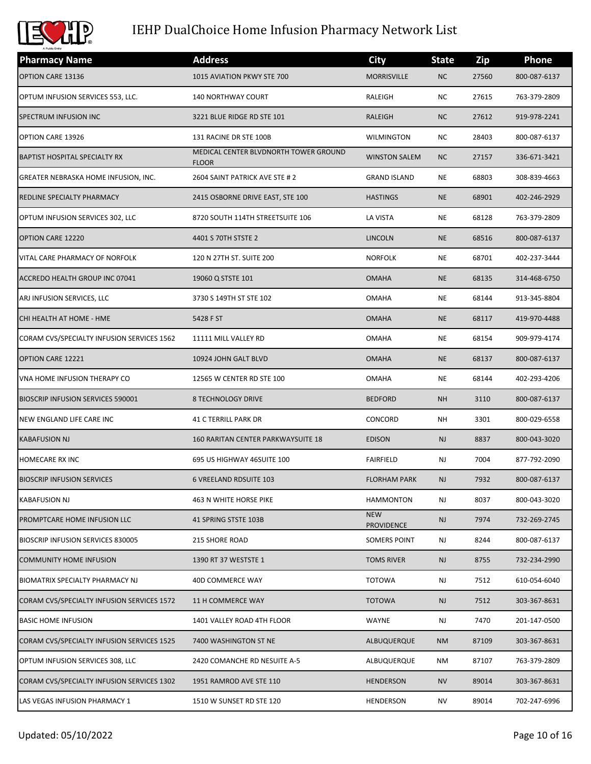

| <b>Pharmacy Name</b>                       | <b>Address</b>                                        | <b>City</b>                     | <b>State</b> | Zip   | Phone        |
|--------------------------------------------|-------------------------------------------------------|---------------------------------|--------------|-------|--------------|
| <b>OPTION CARE 13136</b>                   | 1015 AVIATION PKWY STE 700                            | <b>MORRISVILLE</b>              | <b>NC</b>    | 27560 | 800-087-6137 |
| OPTUM INFUSION SERVICES 553, LLC.          | <b>140 NORTHWAY COURT</b>                             | RALEIGH                         | NC.          | 27615 | 763-379-2809 |
| SPECTRUM INFUSION INC                      | 3221 BLUE RIDGE RD STE 101                            | <b>RALEIGH</b>                  | <b>NC</b>    | 27612 | 919-978-2241 |
| <b>OPTION CARE 13926</b>                   | 131 RACINE DR STE 100B                                | <b>WILMINGTON</b>               | NC.          | 28403 | 800-087-6137 |
| <b>BAPTIST HOSPITAL SPECIALTY RX</b>       | MEDICAL CENTER BLVDNORTH TOWER GROUND<br><b>FLOOR</b> | <b>WINSTON SALEM</b>            | <b>NC</b>    | 27157 | 336-671-3421 |
| GREATER NEBRASKA HOME INFUSION, INC.       | 2604 SAINT PATRICK AVE STE # 2                        | <b>GRAND ISLAND</b>             | NE           | 68803 | 308-839-4663 |
| <b>REDLINE SPECIALTY PHARMACY</b>          | 2415 OSBORNE DRIVE EAST, STE 100                      | <b>HASTINGS</b>                 | <b>NE</b>    | 68901 | 402-246-2929 |
| OPTUM INFUSION SERVICES 302, LLC           | 8720 SOUTH 114TH STREETSUITE 106                      | LA VISTA                        | <b>NE</b>    | 68128 | 763-379-2809 |
| <b>OPTION CARE 12220</b>                   | 4401 S 70TH STSTE 2                                   | <b>LINCOLN</b>                  | <b>NE</b>    | 68516 | 800-087-6137 |
| VITAL CARE PHARMACY OF NORFOLK             | 120 N 27TH ST. SUITE 200                              | <b>NORFOLK</b>                  | <b>NE</b>    | 68701 | 402-237-3444 |
| ACCREDO HEALTH GROUP INC 07041             | 19060 Q STSTE 101                                     | <b>OMAHA</b>                    | <b>NE</b>    | 68135 | 314-468-6750 |
| ARJ INFUSION SERVICES, LLC                 | 3730 S 149TH ST STE 102                               | <b>OMAHA</b>                    | <b>NE</b>    | 68144 | 913-345-8804 |
| CHI HEALTH AT HOME - HME                   | 5428 F ST                                             | <b>OMAHA</b>                    | <b>NE</b>    | 68117 | 419-970-4488 |
| CORAM CVS/SPECIALTY INFUSION SERVICES 1562 | 11111 MILL VALLEY RD                                  | <b>OMAHA</b>                    | <b>NE</b>    | 68154 | 909-979-4174 |
| <b>OPTION CARE 12221</b>                   | 10924 JOHN GALT BLVD                                  | <b>OMAHA</b>                    | <b>NE</b>    | 68137 | 800-087-6137 |
| VNA HOME INFUSION THERAPY CO               | 12565 W CENTER RD STE 100                             | <b>OMAHA</b>                    | <b>NE</b>    | 68144 | 402-293-4206 |
| <b>BIOSCRIP INFUSION SERVICES 590001</b>   | 8 TECHNOLOGY DRIVE                                    | <b>BEDFORD</b>                  | <b>NH</b>    | 3110  | 800-087-6137 |
| NEW ENGLAND LIFE CARE INC                  | 41 C TERRILL PARK DR                                  | CONCORD                         | <b>NH</b>    | 3301  | 800-029-6558 |
| <b>KABAFUSION NJ</b>                       | 160 RARITAN CENTER PARKWAYSUITE 18                    | <b>EDISON</b>                   | <b>NJ</b>    | 8837  | 800-043-3020 |
| HOMECARE RX INC                            | 695 US HIGHWAY 46SUITE 100                            | <b>FAIRFIELD</b>                | NJ           | 7004  | 877-792-2090 |
| <b>BIOSCRIP INFUSION SERVICES</b>          | <b>6 VREELAND RDSUITE 103</b>                         | <b>FLORHAM PARK</b>             | NJ.          | 7932  | 800-087-6137 |
| KABAFUSION NJ                              | 463 N WHITE HORSE PIKE                                | HAMMONTON                       | <b>NJ</b>    | 8037  | 800-043-3020 |
| PROMPTCARE HOME INFUSION LLC               | 41 SPRING STSTE 103B                                  | <b>NEW</b><br><b>PROVIDENCE</b> | <b>NJ</b>    | 7974  | 732-269-2745 |
| BIOSCRIP INFUSION SERVICES 830005          | 215 SHORE ROAD                                        | SOMERS POINT                    | NJ           | 8244  | 800-087-6137 |
| <b>COMMUNITY HOME INFUSION</b>             | 1390 RT 37 WESTSTE 1                                  | <b>TOMS RIVER</b>               | <b>NJ</b>    | 8755  | 732-234-2990 |
| <b>BIOMATRIX SPECIALTY PHARMACY NJ</b>     | 40D COMMERCE WAY                                      | <b>TOTOWA</b>                   | <b>NJ</b>    | 7512  | 610-054-6040 |
| CORAM CVS/SPECIALTY INFUSION SERVICES 1572 | 11 H COMMERCE WAY                                     | <b>TOTOWA</b>                   | <b>NJ</b>    | 7512  | 303-367-8631 |
| <b>BASIC HOME INFUSION</b>                 | 1401 VALLEY ROAD 4TH FLOOR                            | WAYNE                           | NJ           | 7470  | 201-147-0500 |
| CORAM CVS/SPECIALTY INFUSION SERVICES 1525 | 7400 WASHINGTON ST NE                                 | ALBUQUERQUE                     | <b>NM</b>    | 87109 | 303-367-8631 |
| OPTUM INFUSION SERVICES 308, LLC           | 2420 COMANCHE RD NESUITE A-5                          | ALBUQUERQUE                     | NM           | 87107 | 763-379-2809 |
| CORAM CVS/SPECIALTY INFUSION SERVICES 1302 | 1951 RAMROD AVE STE 110                               | <b>HENDERSON</b>                | <b>NV</b>    | 89014 | 303-367-8631 |
| LAS VEGAS INFUSION PHARMACY 1              | 1510 W SUNSET RD STE 120                              | <b>HENDERSON</b>                | ΝV           | 89014 | 702-247-6996 |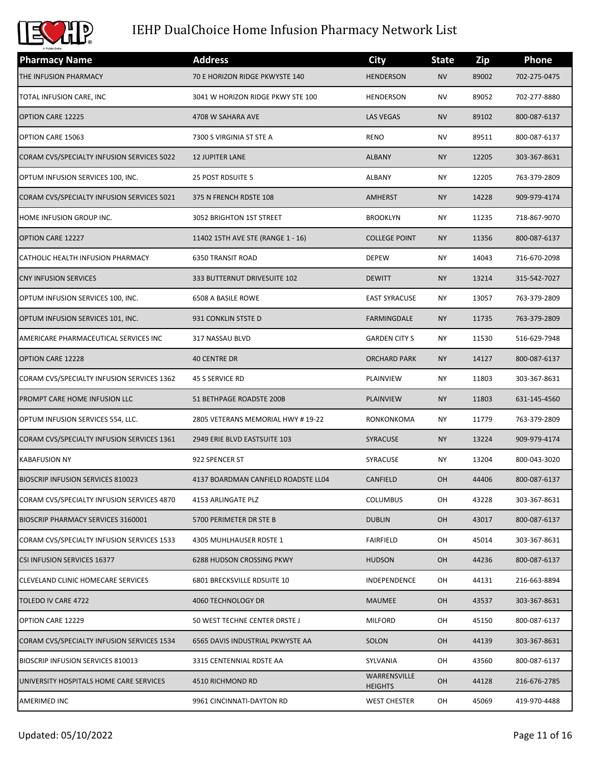

| <b>Pharmacy Name</b>                       | <b>Address</b>                      | <b>City</b>                    | <b>State</b> | Zip   | Phone        |
|--------------------------------------------|-------------------------------------|--------------------------------|--------------|-------|--------------|
| THE INFUSION PHARMACY                      | 70 E HORIZON RIDGE PKWYSTE 140      | <b>HENDERSON</b>               | <b>NV</b>    | 89002 | 702-275-0475 |
| TOTAL INFUSION CARE, INC                   | 3041 W HORIZON RIDGE PKWY STE 100   | <b>HENDERSON</b>               | <b>NV</b>    | 89052 | 702-277-8880 |
| OPTION CARE 12225                          | 4708 W SAHARA AVE                   | <b>LAS VEGAS</b>               | <b>NV</b>    | 89102 | 800-087-6137 |
| OPTION CARE 15063                          | 7300 S VIRGINIA ST STE A            | <b>RENO</b>                    | <b>NV</b>    | 89511 | 800-087-6137 |
| CORAM CVS/SPECIALTY INFUSION SERVICES 5022 | <b>12 JUPITER LANE</b>              | <b>ALBANY</b>                  | <b>NY</b>    | 12205 | 303-367-8631 |
| OPTUM INFUSION SERVICES 100, INC.          | <b>25 POST RDSUITE 5</b>            | ALBANY                         | <b>NY</b>    | 12205 | 763-379-2809 |
| CORAM CVS/SPECIALTY INFUSION SERVICES 5021 | 375 N FRENCH RDSTE 108              | <b>AMHERST</b>                 | <b>NY</b>    | 14228 | 909-979-4174 |
| HOME INFUSION GROUP INC.                   | 3052 BRIGHTON 1ST STREET            | <b>BROOKLYN</b>                | <b>NY</b>    | 11235 | 718-867-9070 |
| <b>OPTION CARE 12227</b>                   | 11402 15TH AVE STE (RANGE 1 - 16)   | <b>COLLEGE POINT</b>           | <b>NY</b>    | 11356 | 800-087-6137 |
| CATHOLIC HEALTH INFUSION PHARMACY          | <b>6350 TRANSIT ROAD</b>            | <b>DEPEW</b>                   | <b>NY</b>    | 14043 | 716-670-2098 |
| <b>CNY INFUSION SERVICES</b>               | 333 BUTTERNUT DRIVESUITE 102        | <b>DEWITT</b>                  | <b>NY</b>    | 13214 | 315-542-7027 |
| OPTUM INFUSION SERVICES 100, INC.          | 6508 A BASILE ROWE                  | <b>EAST SYRACUSE</b>           | <b>NY</b>    | 13057 | 763-379-2809 |
| OPTUM INFUSION SERVICES 101, INC.          | 931 CONKLIN STSTE D                 | FARMINGDALE                    | <b>NY</b>    | 11735 | 763-379-2809 |
| AMERICARE PHARMACEUTICAL SERVICES INC      | 317 NASSAU BLVD                     | <b>GARDEN CITY S</b>           | <b>NY</b>    | 11530 | 516-629-7948 |
| OPTION CARE 12228                          | <b>40 CENTRE DR</b>                 | <b>ORCHARD PARK</b>            | <b>NY</b>    | 14127 | 800-087-6137 |
| CORAM CVS/SPECIALTY INFUSION SERVICES 1362 | 45 S SERVICE RD                     | PLAINVIEW                      | <b>NY</b>    | 11803 | 303-367-8631 |
| PROMPT CARE HOME INFUSION LLC              | 51 BETHPAGE ROADSTE 200B            | PLAINVIEW                      | <b>NY</b>    | 11803 | 631-145-4560 |
| OPTUM INFUSION SERVICES 554, LLC.          | 2805 VETERANS MEMORIAL HWY #19-22   | RONKONKOMA                     | <b>NY</b>    | 11779 | 763-379-2809 |
| CORAM CVS/SPECIALTY INFUSION SERVICES 1361 | 2949 ERIE BLVD EASTSUITE 103        | <b>SYRACUSE</b>                | NY           | 13224 | 909-979-4174 |
| <b>KABAFUSION NY</b>                       | 922 SPENCER ST                      | SYRACUSE                       | <b>NY</b>    | 13204 | 800-043-3020 |
| <b>BIOSCRIP INFUSION SERVICES 810023</b>   | 4137 BOARDMAN CANFIELD ROADSTE LL04 | CANFIELD                       | <b>OH</b>    | 44406 | 800-087-6137 |
| CORAM CVS/SPECIALTY INFUSION SERVICES 4870 | 4153 ARLINGATE PLZ                  | <b>COLUMBUS</b>                | OH           | 43228 | 303-367-8631 |
| BIOSCRIP PHARMACY SERVICES 3160001         | 5700 PERIMETER DR STE B             | <b>DUBLIN</b>                  | OH           | 43017 | 800-087-6137 |
| CORAM CVS/SPECIALTY INFUSION SERVICES 1533 | 4305 MUHLHAUSER RDSTE 1             | <b>FAIRFIELD</b>               | OH           | 45014 | 303-367-8631 |
| CSI INFUSION SERVICES 16377                | <b>6288 HUDSON CROSSING PKWY</b>    | <b>HUDSON</b>                  | <b>OH</b>    | 44236 | 800-087-6137 |
| CLEVELAND CLINIC HOMECARE SERVICES         | 6801 BRECKSVILLE RDSUITE 10         | <b>INDEPENDENCE</b>            | OH           | 44131 | 216-663-8894 |
| TOLEDO IV CARE 4722                        | 4060 TECHNOLOGY DR                  | <b>MAUMEE</b>                  | OH           | 43537 | 303-367-8631 |
| <b>OPTION CARE 12229</b>                   | 50 WEST TECHNE CENTER DRSTE J       | <b>MILFORD</b>                 | OH           | 45150 | 800-087-6137 |
| CORAM CVS/SPECIALTY INFUSION SERVICES 1534 | 6565 DAVIS INDUSTRIAL PKWYSTE AA    | SOLON                          | <b>OH</b>    | 44139 | 303-367-8631 |
| BIOSCRIP INFUSION SERVICES 810013          | 3315 CENTENNIAL RDSTE AA            | SYLVANIA                       | OН           | 43560 | 800-087-6137 |
| UNIVERSITY HOSPITALS HOME CARE SERVICES    | 4510 RICHMOND RD                    | WARRENSVILLE<br><b>HEIGHTS</b> | OH           | 44128 | 216-676-2785 |
| AMERIMED INC                               | 9961 CINCINNATI-DAYTON RD           | <b>WEST CHESTER</b>            | OH           | 45069 | 419-970-4488 |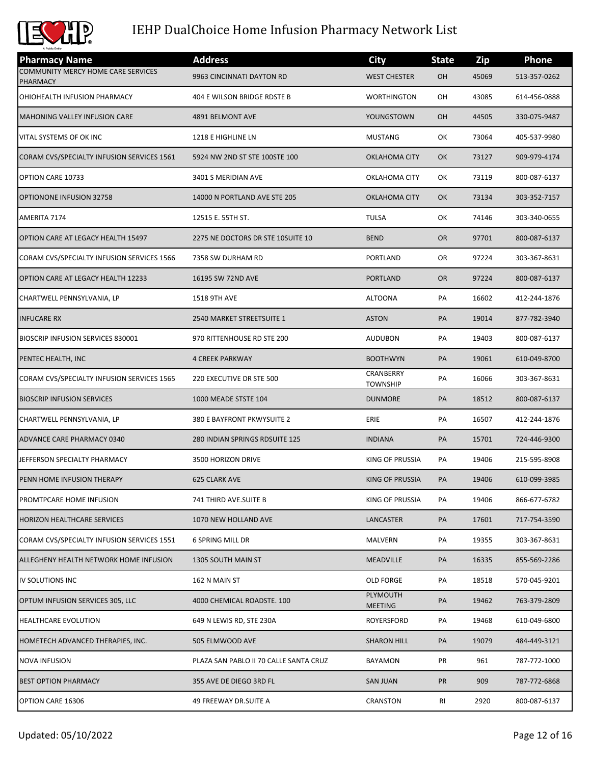

| <b>Pharmacy Name</b>                           | <b>Address</b>                         | <b>City</b>                  | <b>State</b> | Zip   | Phone        |
|------------------------------------------------|----------------------------------------|------------------------------|--------------|-------|--------------|
| COMMUNITY MERCY HOME CARE SERVICES<br>PHARMACY | 9963 CINCINNATI DAYTON RD              | <b>WEST CHESTER</b>          | OH           | 45069 | 513-357-0262 |
| OHIOHEALTH INFUSION PHARMACY                   | 404 E WILSON BRIDGE RDSTE B            | <b>WORTHINGTON</b>           | OH           | 43085 | 614-456-0888 |
| MAHONING VALLEY INFUSION CARE                  | 4891 BELMONT AVE                       | YOUNGSTOWN                   | OH           | 44505 | 330-075-9487 |
| VITAL SYSTEMS OF OK INC                        | 1218 E HIGHLINE LN                     | <b>MUSTANG</b>               | ОК           | 73064 | 405-537-9980 |
| CORAM CVS/SPECIALTY INFUSION SERVICES 1561     | 5924 NW 2ND ST STE 100STE 100          | OKLAHOMA CITY                | OK           | 73127 | 909-979-4174 |
| OPTION CARE 10733                              | 3401 S MERIDIAN AVE                    | OKLAHOMA CITY                | ОК           | 73119 | 800-087-6137 |
| <b>OPTIONONE INFUSION 32758</b>                | 14000 N PORTLAND AVE STE 205           | OKLAHOMA CITY                | OK           | 73134 | 303-352-7157 |
| AMERITA 7174                                   | 12515 E. 55TH ST.                      | <b>TULSA</b>                 | ОК           | 74146 | 303-340-0655 |
| OPTION CARE AT LEGACY HEALTH 15497             | 2275 NE DOCTORS DR STE 10SUITE 10      | <b>BEND</b>                  | <b>OR</b>    | 97701 | 800-087-6137 |
| CORAM CVS/SPECIALTY INFUSION SERVICES 1566     | 7358 SW DURHAM RD                      | PORTLAND                     | OR           | 97224 | 303-367-8631 |
| OPTION CARE AT LEGACY HEALTH 12233             | 16195 SW 72ND AVE                      | <b>PORTLAND</b>              | <b>OR</b>    | 97224 | 800-087-6137 |
| CHARTWELL PENNSYLVANIA, LP                     | <b>1518 9TH AVE</b>                    | <b>ALTOONA</b>               | PA           | 16602 | 412-244-1876 |
| <b>INFUCARE RX</b>                             | 2540 MARKET STREETSUITE 1              | <b>ASTON</b>                 | PA           | 19014 | 877-782-3940 |
| <b>BIOSCRIP INFUSION SERVICES 830001</b>       | 970 RITTENHOUSE RD STE 200             | <b>AUDUBON</b>               | PA           | 19403 | 800-087-6137 |
| PENTEC HEALTH, INC                             | <b>4 CREEK PARKWAY</b>                 | <b>BOOTHWYN</b>              | PA           | 19061 | 610-049-8700 |
| CORAM CVS/SPECIALTY INFUSION SERVICES 1565     | 220 EXECUTIVE DR STE 500               | CRANBERRY<br><b>TOWNSHIP</b> | PA           | 16066 | 303-367-8631 |
| <b>BIOSCRIP INFUSION SERVICES</b>              | 1000 MEADE STSTE 104                   | <b>DUNMORE</b>               | PA           | 18512 | 800-087-6137 |
| CHARTWELL PENNSYLVANIA, LP                     | 380 E BAYFRONT PKWYSUITE 2             | ERIE                         | PA           | 16507 | 412-244-1876 |
| ADVANCE CARE PHARMACY 0340                     | 280 INDIAN SPRINGS RDSUITE 125         | <b>INDIANA</b>               | PA           | 15701 | 724-446-9300 |
| JEFFERSON SPECIALTY PHARMACY                   | 3500 HORIZON DRIVE                     | KING OF PRUSSIA              | PA           | 19406 | 215-595-8908 |
| PENN HOME INFUSION THERAPY                     | <b>625 CLARK AVE</b>                   | <b>KING OF PRUSSIA</b>       | PA           | 19406 | 610-099-3985 |
| PROMTPCARE HOME INFUSION                       | 741 THIRD AVE.SUITE B                  | KING OF PRUSSIA              | PA           | 19406 | 866-677-6782 |
| <b>HORIZON HEALTHCARE SERVICES</b>             | 1070 NEW HOLLAND AVE                   | LANCASTER                    | PA           | 17601 | 717-754-3590 |
| CORAM CVS/SPECIALTY INFUSION SERVICES 1551     | <b>6 SPRING MILL DR</b>                | <b>MALVERN</b>               | PA           | 19355 | 303-367-8631 |
| ALLEGHENY HEALTH NETWORK HOME INFUSION         | 1305 SOUTH MAIN ST                     | <b>MEADVILLE</b>             | PA           | 16335 | 855-569-2286 |
| IV SOLUTIONS INC                               | 162 N MAIN ST                          | <b>OLD FORGE</b>             | PA           | 18518 | 570-045-9201 |
| OPTUM INFUSION SERVICES 305, LLC               | 4000 CHEMICAL ROADSTE. 100             | PLYMOUTH<br><b>MEETING</b>   | PA           | 19462 | 763-379-2809 |
| <b>HEALTHCARE EVOLUTION</b>                    | 649 N LEWIS RD, STE 230A               | <b>ROYERSFORD</b>            | PA           | 19468 | 610-049-6800 |
| HOMETECH ADVANCED THERAPIES, INC.              | 505 ELMWOOD AVE                        | <b>SHARON HILL</b>           | PA           | 19079 | 484-449-3121 |
| <b>NOVA INFUSION</b>                           | PLAZA SAN PABLO II 70 CALLE SANTA CRUZ | BAYAMON                      | PR           | 961   | 787-772-1000 |
| <b>BEST OPTION PHARMACY</b>                    | 355 AVE DE DIEGO 3RD FL                | <b>SAN JUAN</b>              | PR           | 909   | 787-772-6868 |
| OPTION CARE 16306                              | 49 FREEWAY DR.SUITE A                  | CRANSTON                     | RI           | 2920  | 800-087-6137 |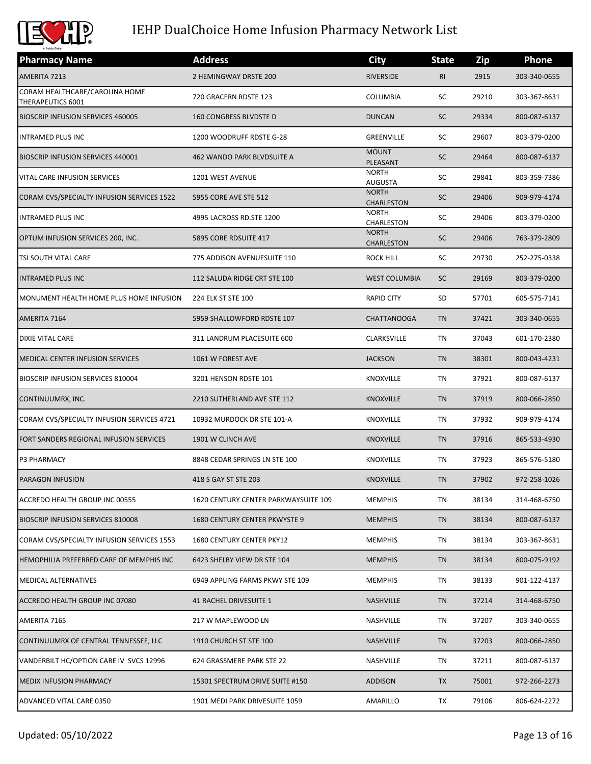

| <b>Pharmacy Name</b>                                | <b>Address</b>                       | <b>City</b>                    | <b>State</b> | <b>Zip</b> | Phone        |
|-----------------------------------------------------|--------------------------------------|--------------------------------|--------------|------------|--------------|
| AMERITA 7213                                        | 2 HEMINGWAY DRSTE 200                | <b>RIVERSIDE</b>               | RI           | 2915       | 303-340-0655 |
| CORAM HEALTHCARE/CAROLINA HOME<br>THERAPEUTICS 6001 | 720 GRACERN RDSTE 123                | COLUMBIA                       | SC           | 29210      | 303-367-8631 |
| <b>BIOSCRIP INFUSION SERVICES 460005</b>            | 160 CONGRESS BLVDSTE D               | <b>DUNCAN</b>                  | <b>SC</b>    | 29334      | 800-087-6137 |
| INTRAMED PLUS INC                                   | 1200 WOODRUFF RDSTE G-28             | <b>GREENVILLE</b>              | SC           | 29607      | 803-379-0200 |
| <b>BIOSCRIP INFUSION SERVICES 440001</b>            | <b>462 WANDO PARK BLVDSUITE A</b>    | <b>MOUNT</b><br>PLEASANT       | SC           | 29464      | 800-087-6137 |
| VITAL CARE INFUSION SERVICES                        | 1201 WEST AVENUE                     | <b>NORTH</b><br><b>AUGUSTA</b> | SC           | 29841      | 803-359-7386 |
| CORAM CVS/SPECIALTY INFUSION SERVICES 1522          | 5955 CORE AVE STE 512                | <b>NORTH</b><br>CHARLESTON     | <b>SC</b>    | 29406      | 909-979-4174 |
| <b>INTRAMED PLUS INC</b>                            | 4995 LACROSS RD.STE 1200             | <b>NORTH</b><br>CHARLESTON     | SC           | 29406      | 803-379-0200 |
| OPTUM INFUSION SERVICES 200, INC.                   | 5895 CORE RDSUITE 417                | <b>NORTH</b><br>CHARLESTON     | SC           | 29406      | 763-379-2809 |
| TSI SOUTH VITAL CARE                                | 775 ADDISON AVENUESUITE 110          | <b>ROCK HILL</b>               | SC           | 29730      | 252-275-0338 |
| <b>INTRAMED PLUS INC</b>                            | 112 SALUDA RIDGE CRT STE 100         | <b>WEST COLUMBIA</b>           | <b>SC</b>    | 29169      | 803-379-0200 |
| MONUMENT HEALTH HOME PLUS HOME INFUSION             | 224 ELK ST STE 100                   | <b>RAPID CITY</b>              | <b>SD</b>    | 57701      | 605-575-7141 |
| AMERITA 7164                                        | 5959 SHALLOWFORD RDSTE 107           | <b>CHATTANOOGA</b>             | <b>TN</b>    | 37421      | 303-340-0655 |
| <b>DIXIE VITAL CARE</b>                             | 311 LANDRUM PLACESUITE 600           | CLARKSVILLE                    | TN           | 37043      | 601-170-2380 |
| MEDICAL CENTER INFUSION SERVICES                    | 1061 W FOREST AVE                    | <b>JACKSON</b>                 | <b>TN</b>    | 38301      | 800-043-4231 |
| BIOSCRIP INFUSION SERVICES 810004                   | 3201 HENSON RDSTE 101                | <b>KNOXVILLE</b>               | <b>TN</b>    | 37921      | 800-087-6137 |
| CONTINUUMRX, INC.                                   | 2210 SUTHERLAND AVE STE 112          | KNOXVILLE                      | <b>TN</b>    | 37919      | 800-066-2850 |
| CORAM CVS/SPECIALTY INFUSION SERVICES 4721          | 10932 MURDOCK DR STE 101-A           | KNOXVILLE                      | TN           | 37932      | 909-979-4174 |
| FORT SANDERS REGIONAL INFUSION SERVICES             | 1901 W CLINCH AVE                    | <b>KNOXVILLE</b>               | <b>TN</b>    | 37916      | 865-533-4930 |
| <b>P3 PHARMACY</b>                                  | 8848 CEDAR SPRINGS LN STE 100        | <b>KNOXVILLE</b>               | TN           | 37923      | 865-576-5180 |
| <b>PARAGON INFUSION</b>                             | 418 S GAY ST STE 203                 | <b>KNOXVILLE</b>               | <b>TN</b>    | 37902      | 972-258-1026 |
| ACCREDO HEALTH GROUP INC 00555                      | 1620 CENTURY CENTER PARKWAYSUITE 109 | <b>MEMPHIS</b>                 | TN           | 38134      | 314-468-6750 |
| <b>BIOSCRIP INFUSION SERVICES 810008</b>            | 1680 CENTURY CENTER PKWYSTE 9        | <b>MEMPHIS</b>                 | <b>TN</b>    | 38134      | 800-087-6137 |
| CORAM CVS/SPECIALTY INFUSION SERVICES 1553          | 1680 CENTURY CENTER PKY12            | <b>MEMPHIS</b>                 | TN           | 38134      | 303-367-8631 |
| HEMOPHILIA PREFERRED CARE OF MEMPHIS INC            | 6423 SHELBY VIEW DR STE 104          | <b>MEMPHIS</b>                 | <b>TN</b>    | 38134      | 800-075-9192 |
| MEDICAL ALTERNATIVES                                | 6949 APPLING FARMS PKWY STE 109      | <b>MEMPHIS</b>                 | TN           | 38133      | 901-122-4137 |
| ACCREDO HEALTH GROUP INC 07080                      | 41 RACHEL DRIVESUITE 1               | NASHVILLE                      | <b>TN</b>    | 37214      | 314-468-6750 |
| AMERITA 7165                                        | 217 W MAPLEWOOD LN                   | NASHVILLE                      | TN           | 37207      | 303-340-0655 |
| CONTINUUMRX OF CENTRAL TENNESSEE, LLC               | 1910 CHURCH ST STE 100               | NASHVILLE                      | <b>TN</b>    | 37203      | 800-066-2850 |
| VANDERBILT HC/OPTION CARE IV SVCS 12996             | 624 GRASSMERE PARK STE 22            | NASHVILLE                      | TN           | 37211      | 800-087-6137 |
| <b>MEDIX INFUSION PHARMACY</b>                      | 15301 SPECTRUM DRIVE SUITE #150      | <b>ADDISON</b>                 | <b>TX</b>    | 75001      | 972-266-2273 |
| ADVANCED VITAL CARE 0350                            | 1901 MEDI PARK DRIVESUITE 1059       | AMARILLO                       | TX           | 79106      | 806-624-2272 |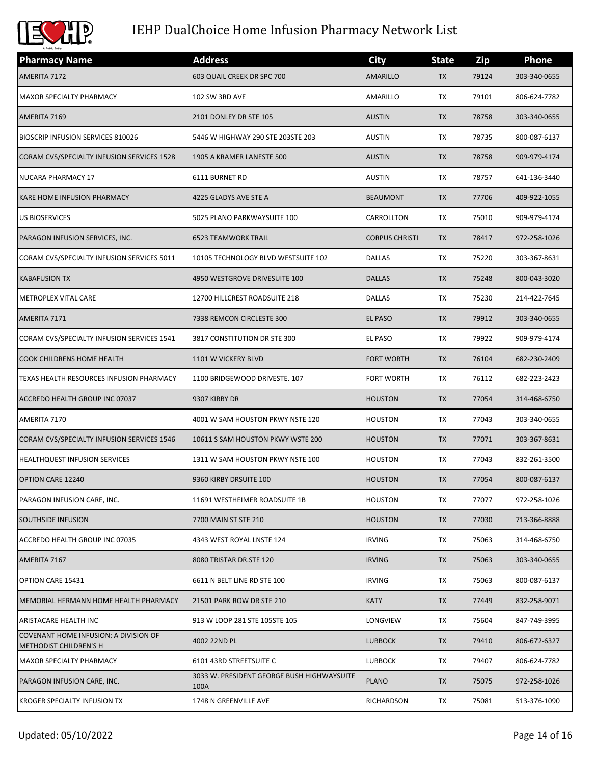

| <b>Pharmacy Name</b>                                                   | <b>Address</b>                                     | <b>City</b>           | <b>State</b> | Zip   | Phone        |
|------------------------------------------------------------------------|----------------------------------------------------|-----------------------|--------------|-------|--------------|
| AMERITA 7172                                                           | 603 QUAIL CREEK DR SPC 700                         | <b>AMARILLO</b>       | <b>TX</b>    | 79124 | 303-340-0655 |
| <b>MAXOR SPECIALTY PHARMACY</b>                                        | <b>102 SW 3RD AVE</b>                              | AMARILLO              | TX           | 79101 | 806-624-7782 |
| AMERITA 7169                                                           | 2101 DONLEY DR STE 105                             | <b>AUSTIN</b>         | <b>TX</b>    | 78758 | 303-340-0655 |
| BIOSCRIP INFUSION SERVICES 810026                                      | 5446 W HIGHWAY 290 STE 203STE 203                  | <b>AUSTIN</b>         | TX           | 78735 | 800-087-6137 |
| CORAM CVS/SPECIALTY INFUSION SERVICES 1528                             | 1905 A KRAMER LANESTE 500                          | <b>AUSTIN</b>         | <b>TX</b>    | 78758 | 909-979-4174 |
| <b>NUCARA PHARMACY 17</b>                                              | 6111 BURNET RD                                     | <b>AUSTIN</b>         | TX           | 78757 | 641-136-3440 |
| KARE HOME INFUSION PHARMACY                                            | 4225 GLADYS AVE STE A                              | <b>BEAUMONT</b>       | <b>TX</b>    | 77706 | 409-922-1055 |
| <b>US BIOSERVICES</b>                                                  | 5025 PLANO PARKWAYSUITE 100                        | CARROLLTON            | TX           | 75010 | 909-979-4174 |
| PARAGON INFUSION SERVICES, INC.                                        | <b>6523 TEAMWORK TRAIL</b>                         | <b>CORPUS CHRISTI</b> | <b>TX</b>    | 78417 | 972-258-1026 |
| CORAM CVS/SPECIALTY INFUSION SERVICES 5011                             | 10105 TECHNOLOGY BLVD WESTSUITE 102                | <b>DALLAS</b>         | TX           | 75220 | 303-367-8631 |
| <b>KABAFUSION TX</b>                                                   | 4950 WESTGROVE DRIVESUITE 100                      | <b>DALLAS</b>         | <b>TX</b>    | 75248 | 800-043-3020 |
| <b>METROPLEX VITAL CARE</b>                                            | 12700 HILLCREST ROADSUITE 218                      | <b>DALLAS</b>         | TX           | 75230 | 214-422-7645 |
| AMERITA 7171                                                           | 7338 REMCON CIRCLESTE 300                          | <b>EL PASO</b>        | <b>TX</b>    | 79912 | 303-340-0655 |
| CORAM CVS/SPECIALTY INFUSION SERVICES 1541                             | 3817 CONSTITUTION DR STE 300                       | EL PASO               | <b>TX</b>    | 79922 | 909-979-4174 |
| COOK CHILDRENS HOME HEALTH                                             | 1101 W VICKERY BLVD                                | <b>FORT WORTH</b>     | <b>TX</b>    | 76104 | 682-230-2409 |
| TEXAS HEALTH RESOURCES INFUSION PHARMACY                               | 1100 BRIDGEWOOD DRIVESTE. 107                      | FORT WORTH            | TX           | 76112 | 682-223-2423 |
| ACCREDO HEALTH GROUP INC 07037                                         | 9307 KIRBY DR                                      | <b>HOUSTON</b>        | <b>TX</b>    | 77054 | 314-468-6750 |
| AMERITA 7170                                                           | 4001 W SAM HOUSTON PKWY NSTE 120                   | <b>HOUSTON</b>        | <b>TX</b>    | 77043 | 303-340-0655 |
| CORAM CVS/SPECIALTY INFUSION SERVICES 1546                             | 10611 S SAM HOUSTON PKWY WSTE 200                  | <b>HOUSTON</b>        | <b>TX</b>    | 77071 | 303-367-8631 |
| <b>HEALTHQUEST INFUSION SERVICES</b>                                   | 1311 W SAM HOUSTON PKWY NSTE 100                   | <b>HOUSTON</b>        | TX           | 77043 | 832-261-3500 |
| OPTION CARE 12240                                                      | 9360 KIRBY DRSUITE 100                             | <b>HOUSTON</b>        | <b>TX</b>    | 77054 | 800-087-6137 |
| <b>PARAGON INFUSION CARE. INC.</b>                                     | 11691 WESTHEIMER ROADSUITE 1B                      | <b>HOUSTON</b>        | TX           | 77077 | 972-258-1026 |
| <b>SOUTHSIDE INFUSION</b>                                              | 7700 MAIN ST STE 210                               | <b>HOUSTON</b>        | <b>TX</b>    | 77030 | 713-366-8888 |
| ACCREDO HEALTH GROUP INC 07035                                         | 4343 WEST ROYAL LNSTE 124                          | <b>IRVING</b>         | TX           | 75063 | 314-468-6750 |
| AMERITA 7167                                                           | 8080 TRISTAR DR.STE 120                            | <b>IRVING</b>         | <b>TX</b>    | 75063 | 303-340-0655 |
| <b>OPTION CARE 15431</b>                                               | 6611 N BELT LINE RD STE 100                        | <b>IRVING</b>         | TX           | 75063 | 800-087-6137 |
| MEMORIAL HERMANN HOME HEALTH PHARMACY                                  | 21501 PARK ROW DR STE 210                          | <b>KATY</b>           | <b>TX</b>    | 77449 | 832-258-9071 |
| ARISTACARE HEALTH INC                                                  | 913 W LOOP 281 STE 105STE 105                      | LONGVIEW              | TX           | 75604 | 847-749-3995 |
| COVENANT HOME INFUSION: A DIVISION OF<br><b>METHODIST CHILDREN'S H</b> | 4002 22ND PL                                       | <b>LUBBOCK</b>        | <b>TX</b>    | 79410 | 806-672-6327 |
| <b>MAXOR SPECIALTY PHARMACY</b>                                        | 6101 43RD STREETSUITE C                            | <b>LUBBOCK</b>        | TX           | 79407 | 806-624-7782 |
| PARAGON INFUSION CARE, INC.                                            | 3033 W. PRESIDENT GEORGE BUSH HIGHWAYSUITE<br>100A | <b>PLANO</b>          | <b>TX</b>    | 75075 | 972-258-1026 |
| <b>KROGER SPECIALTY INFUSION TX</b>                                    | 1748 N GREENVILLE AVE                              | <b>RICHARDSON</b>     | TX           | 75081 | 513-376-1090 |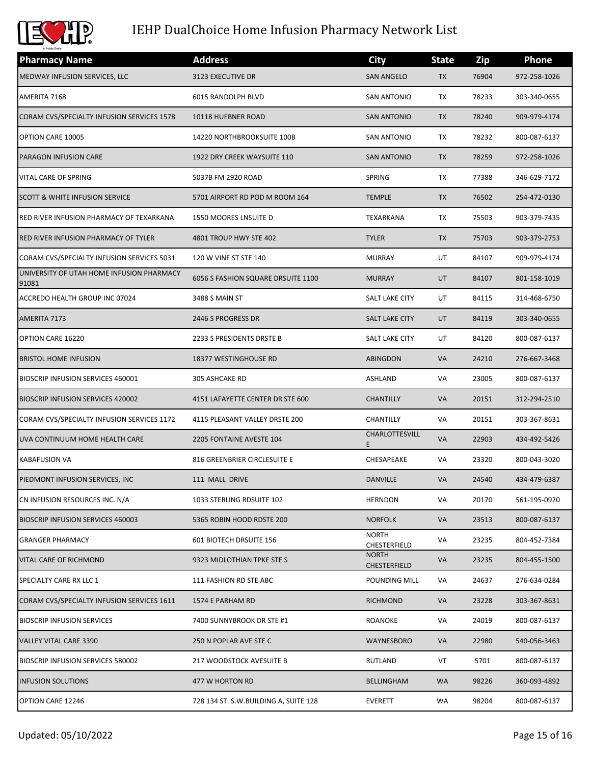

| <b>Pharmacy Name</b>                               | <b>Address</b>                         | <b>City</b>                  | <b>State</b> | Zip   | Phone        |
|----------------------------------------------------|----------------------------------------|------------------------------|--------------|-------|--------------|
| MEDWAY INFUSION SERVICES, LLC                      | 3123 EXECUTIVE DR                      | <b>SAN ANGELO</b>            | <b>TX</b>    | 76904 | 972-258-1026 |
| AMERITA 7168                                       | 6015 RANDOLPH BLVD                     | SAN ANTONIO                  | TX           | 78233 | 303-340-0655 |
| CORAM CVS/SPECIALTY INFUSION SERVICES 1578         | 10118 HUEBNER ROAD                     | <b>SAN ANTONIO</b>           | <b>TX</b>    | 78240 | 909-979-4174 |
| OPTION CARE 10005                                  | 14220 NORTHBROOKSUITE 100B             | SAN ANTONIO                  | <b>TX</b>    | 78232 | 800-087-6137 |
| PARAGON INFUSION CARE                              | 1922 DRY CREEK WAYSUITE 110            | <b>SAN ANTONIO</b>           | <b>TX</b>    | 78259 | 972-258-1026 |
| VITAL CARE OF SPRING                               | 5037B FM 2920 ROAD                     | SPRING                       | TX           | 77388 | 346-629-7172 |
| <b>SCOTT &amp; WHITE INFUSION SERVICE</b>          | 5701 AIRPORT RD POD M ROOM 164         | <b>TEMPLE</b>                | <b>TX</b>    | 76502 | 254-472-0130 |
| RED RIVER INFUSION PHARMACY OF TEXARKANA           | 1550 MOORES LNSUITE D                  | TEXARKANA                    | TX           | 75503 | 903-379-7435 |
| RED RIVER INFUSION PHARMACY OF TYLER               | 4801 TROUP HWY STE 402                 | <b>TYLER</b>                 | <b>TX</b>    | 75703 | 903-379-2753 |
| CORAM CVS/SPECIALTY INFUSION SERVICES 5031         | 120 W VINE ST STE 140                  | <b>MURRAY</b>                | UT           | 84107 | 909-979-4174 |
| UNIVERSITY OF UTAH HOME INFUSION PHARMACY<br>91081 | 6056 S FASHION SQUARE DRSUITE 1100     | <b>MURRAY</b>                | UT           | 84107 | 801-158-1019 |
| ACCREDO HEALTH GROUP INC 07024                     | 3488 S MAIN ST                         | SALT LAKE CITY               | UT           | 84115 | 314-468-6750 |
| AMERITA 7173                                       | 2446 S PROGRESS DR                     | SALT LAKE CITY               | UT           | 84119 | 303-340-0655 |
| OPTION CARE 16220                                  | 2233 S PRESIDENTS DRSTE B              | SALT LAKE CITY               | UT           | 84120 | 800-087-6137 |
| <b>BRISTOL HOME INFUSION</b>                       | 18377 WESTINGHOUSE RD                  | ABINGDON                     | VA           | 24210 | 276-667-3468 |
| BIOSCRIP INFUSION SERVICES 460001                  | 305 ASHCAKE RD                         | ASHLAND                      | VA           | 23005 | 800-087-6137 |
| <b>BIOSCRIP INFUSION SERVICES 420002</b>           | 4151 LAFAYETTE CENTER DR STE 600       | <b>CHANTILLY</b>             | VA           | 20151 | 312-294-2510 |
| CORAM CVS/SPECIALTY INFUSION SERVICES 1172         | 4115 PLEASANT VALLEY DRSTE 200         | CHANTILLY                    | VA           | 20151 | 303-367-8631 |
| UVA CONTINUUM HOME HEALTH CARE                     | 2205 FONTAINE AVESTE 104               | CHARLOTTESVILL<br>E          | VA           | 22903 | 434-492-5426 |
| <b>KABAFUSION VA</b>                               | 816 GREENBRIER CIRCLESUITE E           | CHESAPEAKE                   | VA           | 23320 | 800-043-3020 |
| PIEDMONT INFUSION SERVICES, INC                    | 111 MALL DRIVE                         | <b>DANVILLE</b>              | VA           | 24540 | 434-479-6387 |
| CN INFUSION RESOURCES INC. N/A                     | 1033 STERLING RDSUITE 102              | <b>HERNDON</b>               | VA           | 20170 | 561-195-0920 |
| <b>BIOSCRIP INFUSION SERVICES 460003</b>           | 5365 ROBIN HOOD RDSTE 200              | <b>NORFOLK</b>               | VA           | 23513 | 800-087-6137 |
| <b>GRANGER PHARMACY</b>                            | <b>601 BIOTECH DRSUITE 156</b>         | <b>NORTH</b><br>CHESTERFIELD | VA           | 23235 | 804-452-7384 |
| VITAL CARE OF RICHMOND                             | 9323 MIDLOTHIAN TPKE STE S             | <b>NORTH</b><br>CHESTERFIELD | VA           | 23235 | 804-455-1500 |
| SPECIALTY CARE RX LLC 1                            | 111 FASHION RD STE ABC                 | POUNDING MILL                | VA           | 24637 | 276-634-0284 |
| CORAM CVS/SPECIALTY INFUSION SERVICES 1611         | 1574 E PARHAM RD                       | <b>RICHMOND</b>              | VA           | 23228 | 303-367-8631 |
| <b>BIOSCRIP INFUSION SERVICES</b>                  | 7400 SUNNYBROOK DR STE #1              | ROANOKE                      | VA           | 24019 | 800-087-6137 |
| VALLEY VITAL CARE 3390                             | 250 N POPLAR AVE STE C                 | WAYNESBORO                   | VA           | 22980 | 540-056-3463 |
| BIOSCRIP INFUSION SERVICES 580002                  | 217 WOODSTOCK AVESUITE B               | <b>RUTLAND</b>               | VT           | 5701  | 800-087-6137 |
| <b>INFUSION SOLUTIONS</b>                          | 477 W HORTON RD                        | <b>BELLINGHAM</b>            | <b>WA</b>    | 98226 | 360-093-4892 |
| OPTION CARE 12246                                  | 728 134 ST. S.W. BUILDING A, SUITE 128 | <b>EVERETT</b>               | <b>WA</b>    | 98204 | 800-087-6137 |